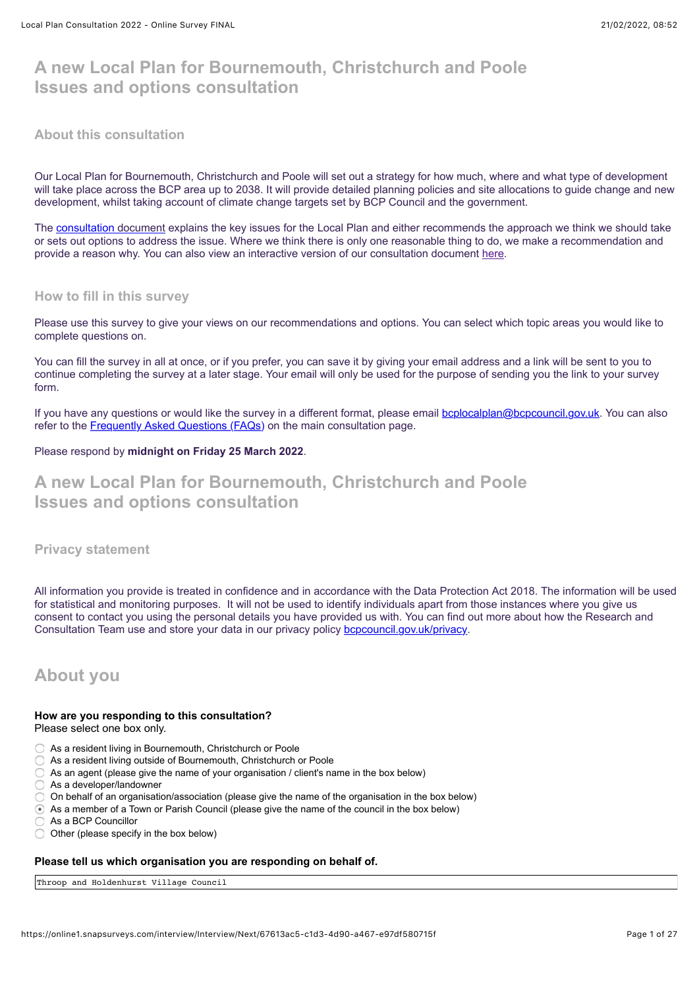# **A new Local Plan for Bournemouth, Christchurch and Poole Issues and options consultation**

## **About this consultation**

Our Local Plan for Bournemouth, Christchurch and Poole will set out a strategy for how much, where and what type of development will take place across the BCP area up to 2038. It will provide detailed planning policies and site allocations to guide change and new development, whilst taking account of climate change targets set by BCP Council and the government.

The [consultation document](https://haveyoursay.bcpcouncil.gov.uk/10099/widgets/30158/documents/20640) explains the key issues for the Local Plan and either recommends the approach we think we should take or sets out options to address the issue. Where we think there is only one reasonable thing to do, we make a recommendation and provide a reason why. You can also view an interactive version of our consultation document [here](https://storymaps.arcgis.com/collections/f14976df158c482da090ef11c33afe79).

## **How to fill in this survey**

Please use this survey to give your views on our recommendations and options. You can select which topic areas you would like to complete questions on.

You can fill the survey in all at once, or if you prefer, you can save it by giving your email address and a link will be sent to you to continue completing the survey at a later stage. Your email will only be used for the purpose of sending you the link to your survey form.

If you have any questions or would like the survey in a different format, please email [bcplocalplan@bcpcouncil.gov.uk.](mailto:bcplocalplan@bcpcouncil.gov.uk) You can also refer to the [Frequently Asked Questions \(FAQs\)](https://haveyoursay.bcpcouncil.gov.uk/localplan/widgets/36541/faqs#question11472) on the main consultation page.

## Please respond by **midnight on Friday 25 March 2022**.

# **A new Local Plan for Bournemouth, Christchurch and Poole Issues and options consultation**

## **Privacy statement**

All information you provide is treated in confidence and in accordance with the Data Protection Act 2018. The information will be used for statistical and monitoring purposes. It will not be used to identify individuals apart from those instances where you give us consent to contact you using the personal details you have provided us with. You can find out more about how the Research and Consultation Team use and store your data in our privacy policy [bcpcouncil.gov.uk/privacy](https://www.bcpcouncil.gov.uk/Privacy/Privacy-notice.aspx).

## **About you**

## **How are you responding to this consultation?**

Please select one box only.

- As a resident living in Bournemouth, Christchurch or Poole
- As a resident living outside of Bournemouth, Christchurch or Poole
- $\bigcirc$  As an agent (please give the name of your organisation / client's name in the box below)
- As a developer/landowner
- On behalf of an organisation/association (please give the name of the organisation in the box below)
- As a member of a Town or Parish Council (please give the name of the council in the box below)
- As a BCP Councillor
- $\bigcirc$  Other (please specify in the box below)

## **Please tell us which organisation you are responding on behalf of.**

Throop and Holdenhurst Village Council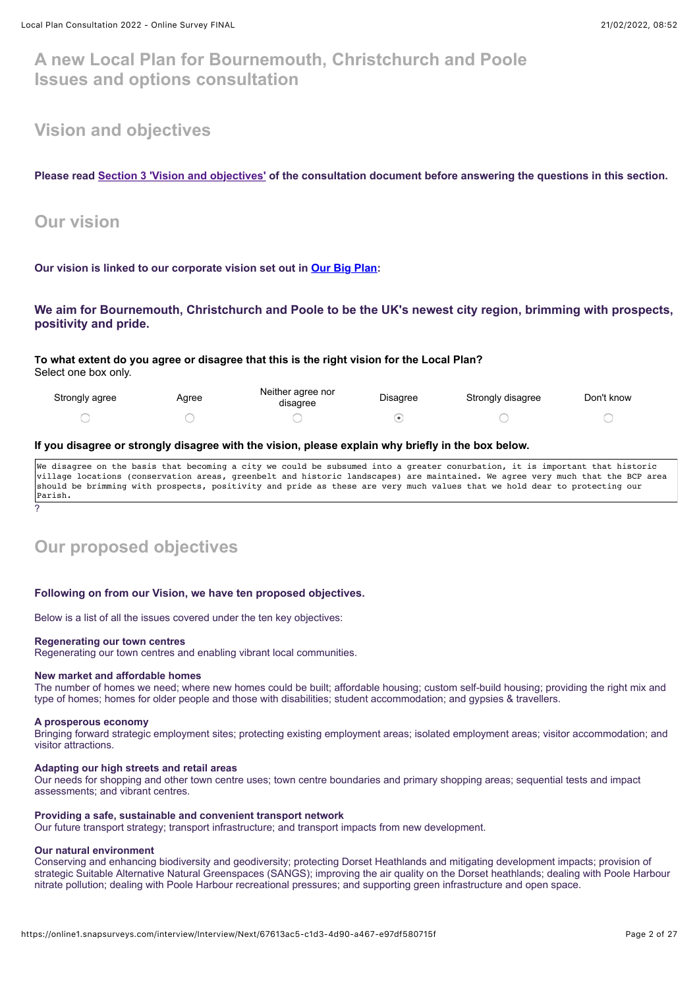## **A new Local Plan for Bournemouth, Christchurch and Poole Issues and options consultation**

## **Vision and objectives**

**Please read [Section 3 'Vision and objectives'](https://storymaps.arcgis.com/collections/f14976df158c482da090ef11c33afe79?item=4) of the consultation document before answering the questions in this section.**

## **Our vision**

**Our vision is linked to our corporate vision set out in [Our Big Plan](https://www.bcpcouncil.gov.uk/About-the-council/Our-Big-Plan/Our-Big-Plan.aspx):**

## **We aim for Bournemouth, Christchurch and Poole to be the UK's newest city region, brimming with prospects, positivity and pride.**

**To what extent do you agree or disagree that this is the right vision for the Local Plan?** Select one box only.

| Strongly agree | Agree | Neither agree nor<br>disagree | Disagree | Strongly disagree | Don't know |
|----------------|-------|-------------------------------|----------|-------------------|------------|
|                |       |                               |          |                   |            |

#### **If you disagree or strongly disagree with the vision, please explain why briefly in the box below.**

We disagree on the basis that becoming a city we could be subsumed into a greater conurbation, it is important that historic village locations (conservation areas, greenbelt and historic landscapes) are maintained. We agree very much that the BCP area should be brimming with prospects, positivity and pride as these are very much values that we hold dear to protecting our Parish.

# **Our proposed objectives**

#### **Following on from our Vision, we have ten proposed objectives.**

Below is a list of all the issues covered under the ten key objectives:

#### **Regenerating our town centres**

Regenerating our town centres and enabling vibrant local communities.

#### **New market and affordable homes**

The number of homes we need; where new homes could be built; affordable housing; custom self-build housing; providing the right mix and type of homes; homes for older people and those with disabilities; student accommodation; and gypsies & travellers.

#### **A prosperous economy**

?

Bringing forward strategic employment sites; protecting existing employment areas; isolated employment areas; visitor accommodation; and visitor attractions.

#### **Adapting our high streets and retail areas**

Our needs for shopping and other town centre uses; town centre boundaries and primary shopping areas; sequential tests and impact assessments; and vibrant centres.

#### **Providing a safe, sustainable and convenient transport network**

Our future transport strategy; transport infrastructure; and transport impacts from new development.

#### **Our natural environment**

Conserving and enhancing biodiversity and geodiversity; protecting Dorset Heathlands and mitigating development impacts; provision of strategic Suitable Alternative Natural Greenspaces (SANGS); improving the air quality on the Dorset heathlands; dealing with Poole Harbour nitrate pollution; dealing with Poole Harbour recreational pressures; and supporting green infrastructure and open space.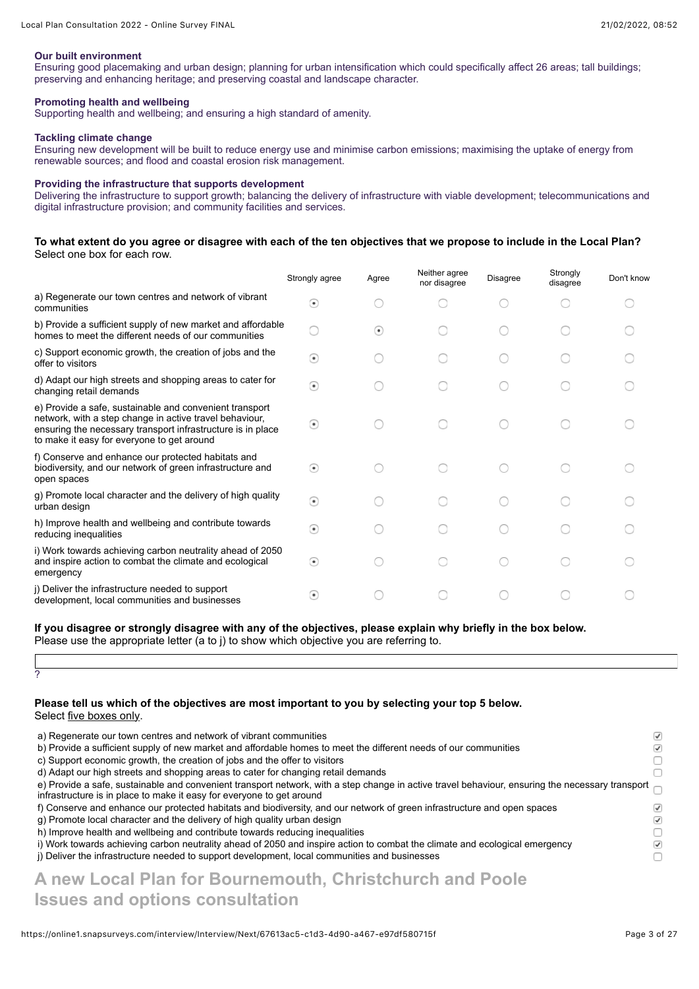#### **Our built environment**

Ensuring good placemaking and urban design; planning for urban intensification which could specifically affect 26 areas; tall buildings; preserving and enhancing heritage; and preserving coastal and landscape character.

#### **Promoting health and wellbeing**

Supporting health and wellbeing; and ensuring a high standard of amenity.

#### **Tackling climate change**

Ensuring new development will be built to reduce energy use and minimise carbon emissions; maximising the uptake of energy from renewable sources; and flood and coastal erosion risk management.

#### **Providing the infrastructure that supports development**

Delivering the infrastructure to support growth; balancing the delivery of infrastructure with viable development; telecommunications and digital infrastructure provision; and community facilities and services.

#### **To what extent do you agree or disagree with each of the ten objectives that we propose to include in the Local Plan?** Select one box for each row.

|                                                                                                                                                                                                                                 | Strongly agree           | Agree   | Neither agree<br>nor disagree | <b>Disagree</b> | Strongly<br>disagree | Don't know |
|---------------------------------------------------------------------------------------------------------------------------------------------------------------------------------------------------------------------------------|--------------------------|---------|-------------------------------|-----------------|----------------------|------------|
| a) Regenerate our town centres and network of vibrant<br>communities                                                                                                                                                            | $\left( \bullet \right)$ |         |                               |                 |                      |            |
| b) Provide a sufficient supply of new market and affordable<br>homes to meet the different needs of our communities                                                                                                             |                          | $\bf o$ |                               |                 |                      |            |
| c) Support economic growth, the creation of jobs and the<br>offer to visitors                                                                                                                                                   | $\circledast$            |         |                               |                 |                      |            |
| d) Adapt our high streets and shopping areas to cater for<br>changing retail demands                                                                                                                                            | $\odot$                  |         |                               |                 |                      |            |
| e) Provide a safe, sustainable and convenient transport<br>network, with a step change in active travel behaviour,<br>ensuring the necessary transport infrastructure is in place<br>to make it easy for everyone to get around | $\circ$                  |         |                               |                 |                      |            |
| f) Conserve and enhance our protected habitats and<br>biodiversity, and our network of green infrastructure and<br>open spaces                                                                                                  | $\circ$                  |         |                               |                 |                      |            |
| g) Promote local character and the delivery of high quality<br>urban design                                                                                                                                                     | ⋒                        |         |                               |                 |                      |            |
| h) Improve health and wellbeing and contribute towards<br>reducing inequalities                                                                                                                                                 | $\circ$                  |         |                               |                 |                      |            |
| i) Work towards achieving carbon neutrality ahead of 2050<br>and inspire action to combat the climate and ecological<br>emergency                                                                                               | $\circledast$            |         |                               |                 |                      |            |
| (i) Deliver the infrastructure needed to support<br>development, local communities and businesses                                                                                                                               | $\circ$                  |         |                               |                 |                      |            |

### **If you disagree or strongly disagree with any of the objectives, please explain why briefly in the box below.**

Please use the appropriate letter (a to j) to show which objective you are referring to.

?

#### **Please tell us which of the objectives are most important to you by selecting your top 5 below.** Select five boxes only.

| a) Regenerate our town centres and network of vibrant communities                                                                                                                                                         | $\sqrt{}$ |
|---------------------------------------------------------------------------------------------------------------------------------------------------------------------------------------------------------------------------|-----------|
| b) Provide a sufficient supply of new market and affordable homes to meet the different needs of our communities                                                                                                          | $\sqrt{}$ |
| c) Support economic growth, the creation of jobs and the offer to visitors                                                                                                                                                |           |
| d) Adapt our high streets and shopping areas to cater for changing retail demands                                                                                                                                         |           |
| e) Provide a safe, sustainable and convenient transport network, with a step change in active travel behaviour, ensuring the necessary transport<br>infrastructure is in place to make it easy for everyone to get around |           |
| f) Conserve and enhance our protected habitats and biodiversity, and our network of green infrastructure and open spaces                                                                                                  |           |
| g) Promote local character and the delivery of high quality urban design                                                                                                                                                  | $\sqrt{}$ |
| h) Improve health and wellbeing and contribute towards reducing inequalities                                                                                                                                              |           |
| i) Work towards achieving carbon neutrality ahead of 2050 and inspire action to combat the climate and ecological emergency                                                                                               | $\sqrt{}$ |
| j) Deliver the infrastructure needed to support development, local communities and businesses                                                                                                                             |           |
| .                                                                                                                                                                                                                         |           |

# **A new Local Plan for Bournemouth, Christchurch and Poole Issues and options consultation**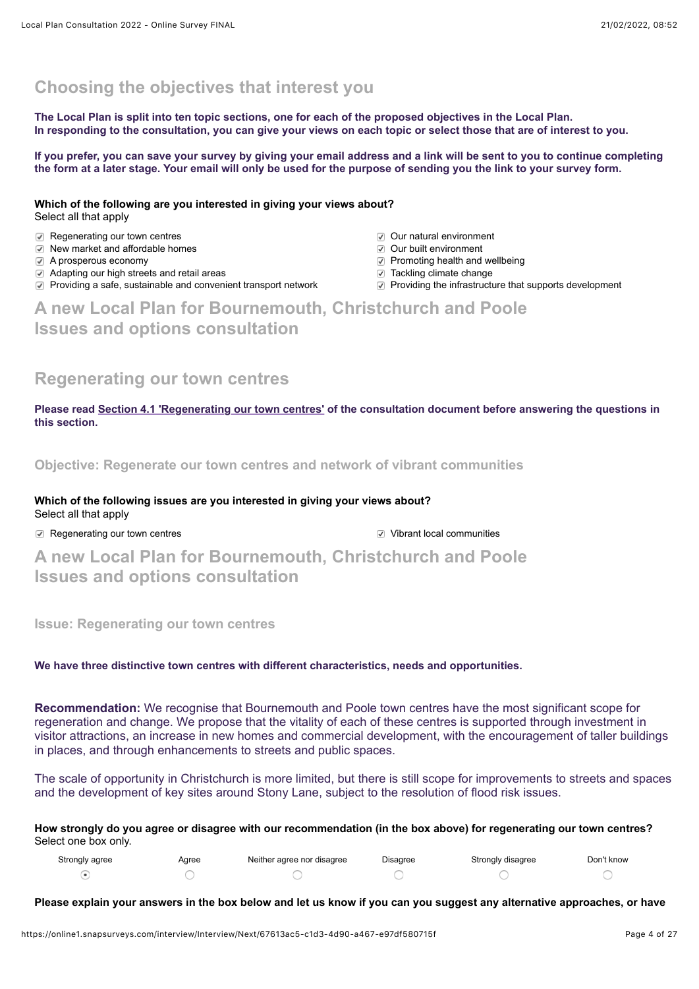## **Choosing the objectives that interest you**

**The Local Plan is split into ten topic sections, one for each of the proposed objectives in the Local Plan. In responding to the consultation, you can give your views on each topic or select those that are of interest to you.** 

**If you prefer, you can save your survey by giving your email address and a link will be sent to you to continue completing the form at a later stage. Your email will only be used for the purpose of sending you the link to your survey form.**

**Which of the following are you interested in giving your views about?** Select all that apply

- **Regenerating our town centres** COUT natural environment
- **New market and affordable homes OU C Our built environment**
- 
- $\Box$  Adapting our high streets and retail areas Tackling climate change
- $\Box$  Providing a safe, sustainable and convenient transport network  $\Box$  Providing the infrastructure that supports development
- 
- 
- **A** prosperous economy **Promotion** Promoting health and wellbeing
	-
	-

# **A new Local Plan for Bournemouth, Christchurch and Poole Issues and options consultation**

## **Regenerating our town centres**

**Please read [Section 4.1 'Regenerating our town centres'](https://storymaps.arcgis.com/collections/f14976df158c482da090ef11c33afe79?item=5) of the consultation document before answering the questions in this section.**

**Objective: Regenerate our town centres and network of vibrant communities**

**Which of the following issues are you interested in giving your views about?** Select all that apply

**a** Regenerating our town centres **Vibrant local communities V** Vibrant local communities

**A new Local Plan for Bournemouth, Christchurch and Poole Issues and options consultation**

**Issue: Regenerating our town centres**

## **We have three distinctive town centres with different characteristics, needs and opportunities.**

**Recommendation:** We recognise that Bournemouth and Poole town centres have the most significant scope for regeneration and change. We propose that the vitality of each of these centres is supported through investment in visitor attractions, an increase in new homes and commercial development, with the encouragement of taller buildings in places, and through enhancements to streets and public spaces.

The scale of opportunity in Christchurch is more limited, but there is still scope for improvements to streets and spaces and the development of key sites around Stony Lane, subject to the resolution of flood risk issues.

**How strongly do you agree or disagree with our recommendation (in the box above) for regenerating our town centres?** Select one box only.

| Strongly agree | Agree | Neither agree nor disagree | Disagree | Strongly disagree | Don't know |
|----------------|-------|----------------------------|----------|-------------------|------------|
|                |       |                            |          |                   |            |

**Please explain your answers in the box below and let us know if you can you suggest any alternative approaches, or have**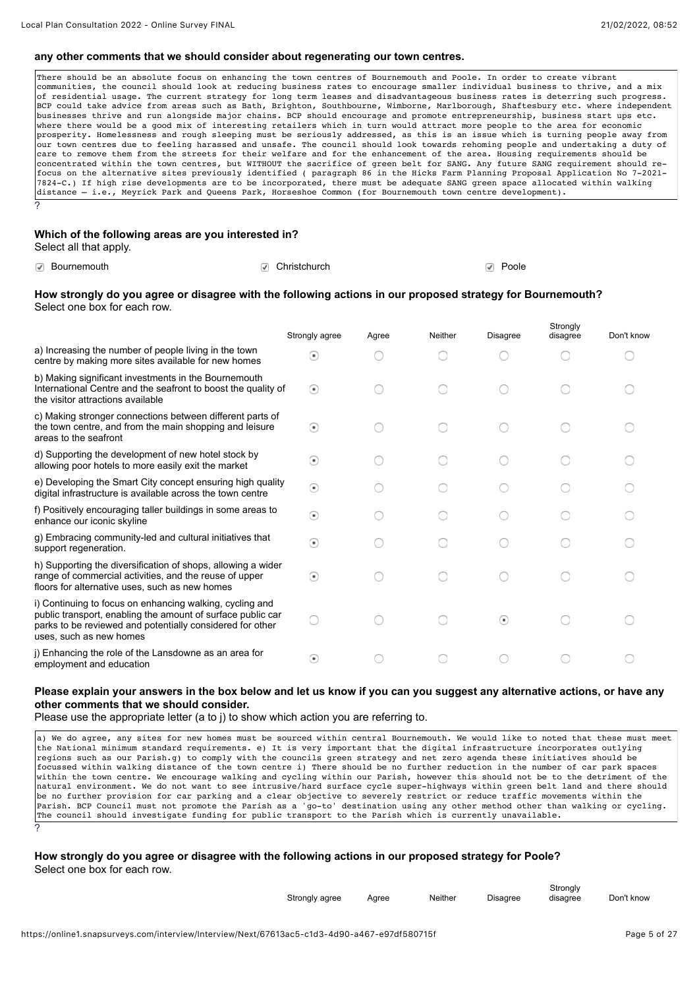#### **any other comments that we should consider about regenerating our town centres.**

There should be an absolute focus on enhancing the town centres of Bournemouth and Poole. In order to create vibrant communities, the council should look at reducing business rates to encourage smaller individual business to thrive, and a mix of residential usage. The current strategy for long term leases and disadvantageous business rates is deterring such progress. BCP could take advice from areas such as Bath, Brighton, Southbourne, Wimborne, Marlborough, Shaftesbury etc. where independent businesses thrive and run alongside major chains. BCP should encourage and promote entrepreneurship, business start ups etc. where there would be a good mix of interesting retailers which in turn would attract more people to the area for economic prosperity. Homelessness and rough sleeping must be seriously addressed, as this is an issue which is turning people away from our town centres due to feeling harassed and unsafe. The council should look towards rehoming people and undertaking a duty of care to remove them from the streets for their welfare and for the enhancement of the area. Housing requirements should be concentrated within the town centres, but WITHOUT the sacrifice of green belt for SANG. Any future SANG requirement should refocus on the alternative sites previously identified ( paragraph 86 in the Hicks Farm Planning Proposal Application No 7-2021- 7824-C.) If high rise developments are to be incorporated, there must be adequate SANG green space allocated within walking distance – i.e., Meyrick Park and Queens Park, Horseshoe Common (for Bournemouth town centre development). ?

## **Which of the following areas are you interested in?**

Select all that apply.

| <b>⊘</b> Bournemouth | <b>D</b> Christchurch | Poole<br>$\sqrt{}$ |
|----------------------|-----------------------|--------------------|
|----------------------|-----------------------|--------------------|

#### **How strongly do you agree or disagree with the following actions in our proposed strategy for Bournemouth?**  Select one box for each row.

|                                                                                                                                                                                                                 | Strongly agree           | Agree | Neither | <b>Disagree</b> | Strongly<br>disagree | Don't know |
|-----------------------------------------------------------------------------------------------------------------------------------------------------------------------------------------------------------------|--------------------------|-------|---------|-----------------|----------------------|------------|
| a) Increasing the number of people living in the town<br>centre by making more sites available for new homes                                                                                                    | $\left( \bullet \right)$ |       |         |                 |                      |            |
| b) Making significant investments in the Bournemouth<br>International Centre and the seafront to boost the quality of<br>the visitor attractions available                                                      | $\circ$                  |       |         |                 |                      |            |
| c) Making stronger connections between different parts of<br>the town centre, and from the main shopping and leisure<br>areas to the seafront                                                                   | $\odot$                  |       |         |                 |                      |            |
| d) Supporting the development of new hotel stock by<br>allowing poor hotels to more easily exit the market                                                                                                      | $\circ$                  |       |         |                 |                      |            |
| e) Developing the Smart City concept ensuring high quality<br>digital infrastructure is available across the town centre                                                                                        | $\circ$                  |       |         |                 |                      |            |
| f) Positively encouraging taller buildings in some areas to<br>enhance our iconic skyline                                                                                                                       | $\circ$                  |       |         |                 |                      |            |
| g) Embracing community-led and cultural initiatives that<br>support regeneration.                                                                                                                               | $\odot$                  |       |         |                 |                      |            |
| h) Supporting the diversification of shops, allowing a wider<br>range of commercial activities, and the reuse of upper<br>floors for alternative uses, such as new homes                                        | $\left( \bullet \right)$ |       |         |                 |                      |            |
| i) Continuing to focus on enhancing walking, cycling and<br>public transport, enabling the amount of surface public car<br>parks to be reviewed and potentially considered for other<br>uses, such as new homes |                          |       |         | ⊙               |                      |            |
| j) Enhancing the role of the Lansdowne as an area for<br>employment and education                                                                                                                               | $\left( \bullet \right)$ |       |         |                 |                      |            |

#### **Please explain your answers in the box below and let us know if you can you suggest any alternative actions, or have any other comments that we should consider.**

Please use the appropriate letter (a to j) to show which action you are referring to.

a) We do agree, any sites for new homes must be sourced within central Bournemouth. We would like to noted that these must meet the National minimum standard requirements. e) It is very important that the digital infrastructure incorporates outlying regions such as our Parish.g) to comply with the councils green strategy and net zero agenda these initiatives should be focussed within walking distance of the town centre i) There should be no further reduction in the number of car park spaces within the town centre. We encourage walking and cycling within our Parish, however this should not be to the detriment of the natural environment. We do not want to see intrusive/hard surface cycle super-highways within green belt land and there should be no further provision for car parking and a clear objective to severely restrict or reduce traffic movements within the Parish. BCP Council must not promote the Parish as a 'go-to' destination using any other method other than walking or cycling. The council should investigate funding for public transport to the Parish which is currently unavailable. ?

#### **How strongly do you agree or disagree with the following actions in our proposed strategy for Poole?**  Select one box for each row.

| Strongly agree | Aaree | <b>Neither</b> | <b>Disagree</b> | Strongly<br>disagree | Don't know |
|----------------|-------|----------------|-----------------|----------------------|------------|
|                |       |                |                 |                      |            |
|                |       |                |                 |                      |            |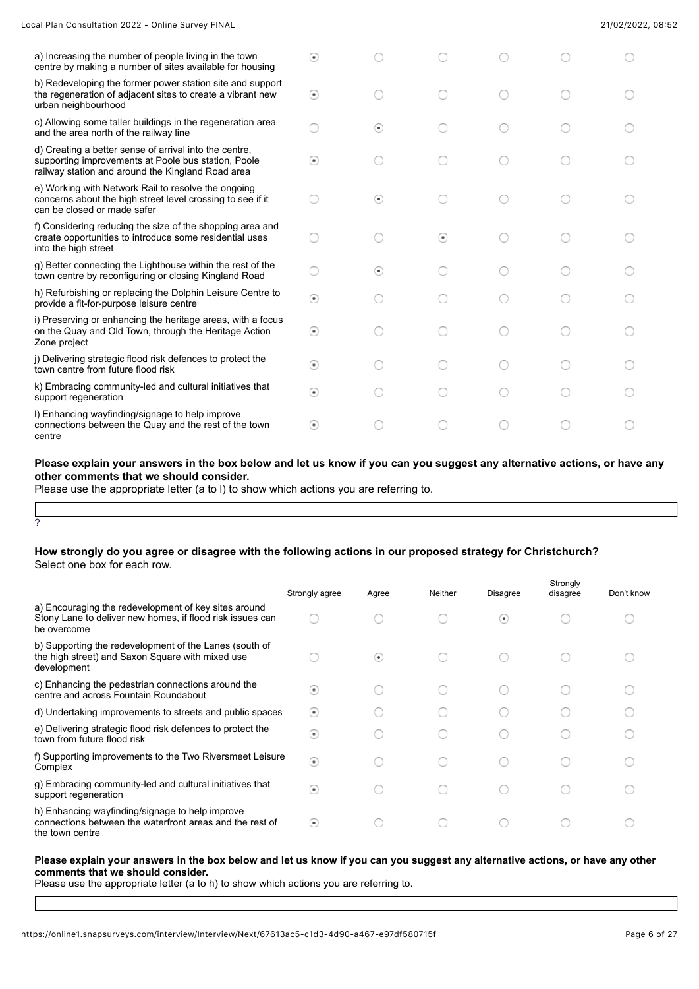| Local Plan Consultation 2022 - Online Survey FINAL |  |  |  |  |  |
|----------------------------------------------------|--|--|--|--|--|
|----------------------------------------------------|--|--|--|--|--|

| a) Increasing the number of people living in the town<br>centre by making a number of sites available for housing                                                  | $_{\odot}$    |         |         |  |  |
|--------------------------------------------------------------------------------------------------------------------------------------------------------------------|---------------|---------|---------|--|--|
| b) Redeveloping the former power station site and support<br>the regeneration of adjacent sites to create a vibrant new<br>urban neighbourhood                     | $\odot$       |         |         |  |  |
| c) Allowing some taller buildings in the regeneration area<br>and the area north of the railway line                                                               |               | $\odot$ |         |  |  |
| d) Creating a better sense of arrival into the centre,<br>supporting improvements at Poole bus station, Poole<br>railway station and around the Kingland Road area | $\circledast$ |         |         |  |  |
| e) Working with Network Rail to resolve the ongoing<br>concerns about the high street level crossing to see if it<br>can be closed or made safer                   |               | $\circ$ |         |  |  |
| f) Considering reducing the size of the shopping area and<br>create opportunities to introduce some residential uses<br>into the high street                       |               |         | $\odot$ |  |  |
| g) Better connecting the Lighthouse within the rest of the<br>town centre by reconfiguring or closing Kingland Road                                                |               | $\odot$ |         |  |  |
| h) Refurbishing or replacing the Dolphin Leisure Centre to<br>provide a fit-for-purpose leisure centre                                                             | $\odot$       |         |         |  |  |
| i) Preserving or enhancing the heritage areas, with a focus<br>on the Quay and Old Town, through the Heritage Action<br>Zone project                               | $\odot$       |         |         |  |  |
| j) Delivering strategic flood risk defences to protect the<br>town centre from future flood risk                                                                   | $\odot$       |         |         |  |  |
| k) Embracing community-led and cultural initiatives that<br>support regeneration                                                                                   | $\odot$       |         |         |  |  |
| I) Enhancing wayfinding/signage to help improve<br>connections between the Quay and the rest of the town<br>centre                                                 | ⊙             |         |         |  |  |

#### **Please explain your answers in the box below and let us know if you can you suggest any alternative actions, or have any other comments that we should consider.**

Please use the appropriate letter (a to l) to show which actions you are referring to.

## ?

### **How strongly do you agree or disagree with the following actions in our proposed strategy for Christchurch?**  Select one box for each row.

|                                                                                                                                  | Strongly agree           | Agree                    | Neither | <b>Disagree</b>          | Strongly<br>disagree | Don't know |
|----------------------------------------------------------------------------------------------------------------------------------|--------------------------|--------------------------|---------|--------------------------|----------------------|------------|
| a) Encouraging the redevelopment of key sites around<br>Stony Lane to deliver new homes, if flood risk issues can<br>be overcome |                          |                          |         | $\left( \bullet \right)$ |                      |            |
| b) Supporting the redevelopment of the Lanes (south of<br>the high street) and Saxon Square with mixed use<br>development        |                          | $\left( \bullet \right)$ |         |                          |                      |            |
| c) Enhancing the pedestrian connections around the<br>centre and across Fountain Roundabout                                      | $\left( \bullet \right)$ |                          |         |                          |                      |            |
| d) Undertaking improvements to streets and public spaces                                                                         | $\left( \bullet \right)$ |                          |         |                          |                      |            |
| e) Delivering strategic flood risk defences to protect the<br>town from future flood risk                                        | $\left( \bullet \right)$ |                          |         |                          |                      |            |
| f) Supporting improvements to the Two Riversmeet Leisure<br>Complex                                                              | ⊙                        |                          |         |                          |                      |            |
| g) Embracing community-led and cultural initiatives that<br>support regeneration                                                 | ⊙                        |                          |         |                          |                      |            |
| h) Enhancing wayfinding/signage to help improve<br>connections between the waterfront areas and the rest of<br>the town centre   | $\left( \bullet \right)$ |                          |         |                          |                      |            |

#### **Please explain your answers in the box below and let us know if you can you suggest any alternative actions, or have any other comments that we should consider.**

Please use the appropriate letter (a to h) to show which actions you are referring to.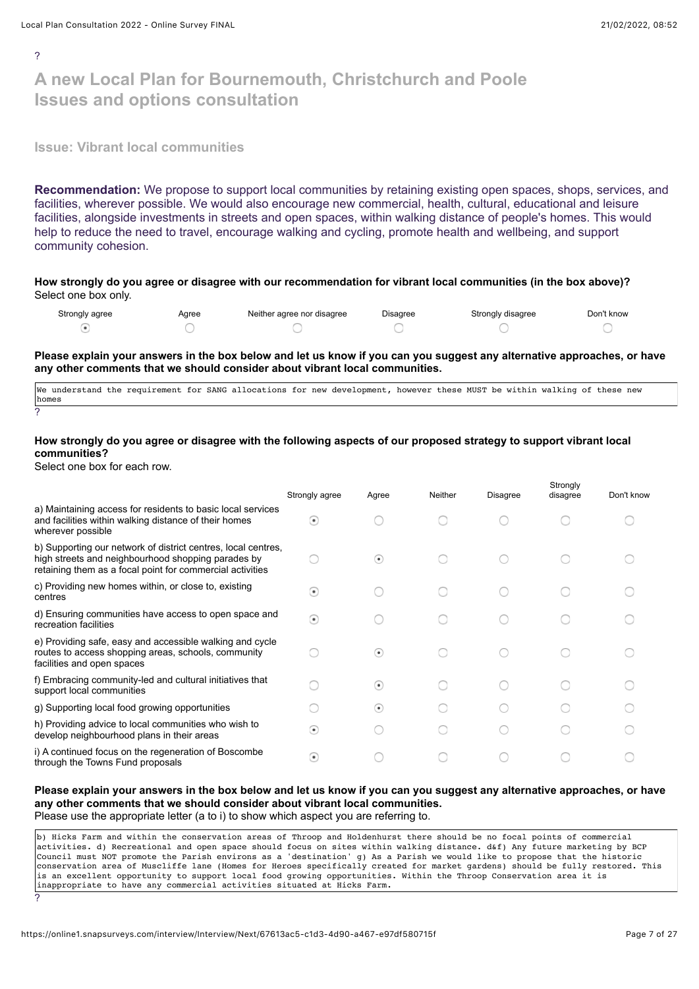$\mathcal{L}$ 

# **A new Local Plan for Bournemouth, Christchurch and Poole Issues and options consultation**

**Issue: Vibrant local communities**

**Recommendation:** We propose to support local communities by retaining existing open spaces, shops, services, and facilities, wherever possible. We would also encourage new commercial, health, cultural, educational and leisure facilities, alongside investments in streets and open spaces, within walking distance of people's homes. This would help to reduce the need to travel, encourage walking and cycling, promote health and wellbeing, and support community cohesion.

**How strongly do you agree or disagree with our recommendation for vibrant local communities (in the box above)?** Select one box only.

| Strongly agree | Agree | Neither agree nor disagree | Disagree | Strongly disagree | Don't know |
|----------------|-------|----------------------------|----------|-------------------|------------|
|                |       |                            |          |                   |            |

**Please explain your answers in the box below and let us know if you can you suggest any alternative approaches, or have any other comments that we should consider about vibrant local communities.**

We understand the requirement for SANG allocations for new development, however these MUST be within walking of these new homes ?

#### **How strongly do you agree or disagree with the following aspects of our proposed strategy to support vibrant local communities?**

Select one box for each row.

?

|                                                                                                                                                                                  | Strongly agree           | Agree                    | <b>Neither</b> | Disagree | Strongly<br>disagree | Don't know |
|----------------------------------------------------------------------------------------------------------------------------------------------------------------------------------|--------------------------|--------------------------|----------------|----------|----------------------|------------|
| a) Maintaining access for residents to basic local services<br>and facilities within walking distance of their homes<br>wherever possible                                        | $\left( \bullet \right)$ |                          |                |          |                      |            |
| b) Supporting our network of district centres, local centres,<br>high streets and neighbourhood shopping parades by<br>retaining them as a focal point for commercial activities |                          | $\left( \bullet \right)$ |                |          |                      |            |
| c) Providing new homes within, or close to, existing<br>centres                                                                                                                  | $\left( \bullet \right)$ |                          |                |          |                      |            |
| d) Ensuring communities have access to open space and<br>recreation facilities                                                                                                   | $\circ$                  |                          |                |          |                      |            |
| e) Providing safe, easy and accessible walking and cycle<br>routes to access shopping areas, schools, community<br>facilities and open spaces                                    |                          | $\left( \bullet \right)$ |                |          |                      |            |
| f) Embracing community-led and cultural initiatives that<br>support local communities                                                                                            |                          | $\left( \bullet \right)$ |                |          |                      |            |
| g) Supporting local food growing opportunities                                                                                                                                   |                          | $\left( \bullet \right)$ |                |          |                      |            |
| h) Providing advice to local communities who wish to<br>develop neighbourhood plans in their areas                                                                               | $\left( \bullet \right)$ |                          |                |          |                      |            |
| i) A continued focus on the regeneration of Boscombe<br>through the Towns Fund proposals                                                                                         | $\left( \bullet \right)$ |                          |                |          |                      |            |

## **Please explain your answers in the box below and let us know if you can you suggest any alternative approaches, or have any other comments that we should consider about vibrant local communities.**

Please use the appropriate letter (a to i) to show which aspect you are referring to.

b) Hicks Farm and within the conservation areas of Throop and Holdenhurst there should be no focal points of commercial activities. d) Recreational and open space should focus on sites within walking distance. d&f) Any future marketing by BCP Council must NOT promote the Parish environs as a 'destination' g) As a Parish we would like to propose that the historic conservation area of Muscliffe lane (Homes for Heroes specifically created for market gardens) should be fully restored. This is an excellent opportunity to support local food growing opportunities. Within the Throop Conservation area it is inappropriate to have any commercial activities situated at Hicks Farm.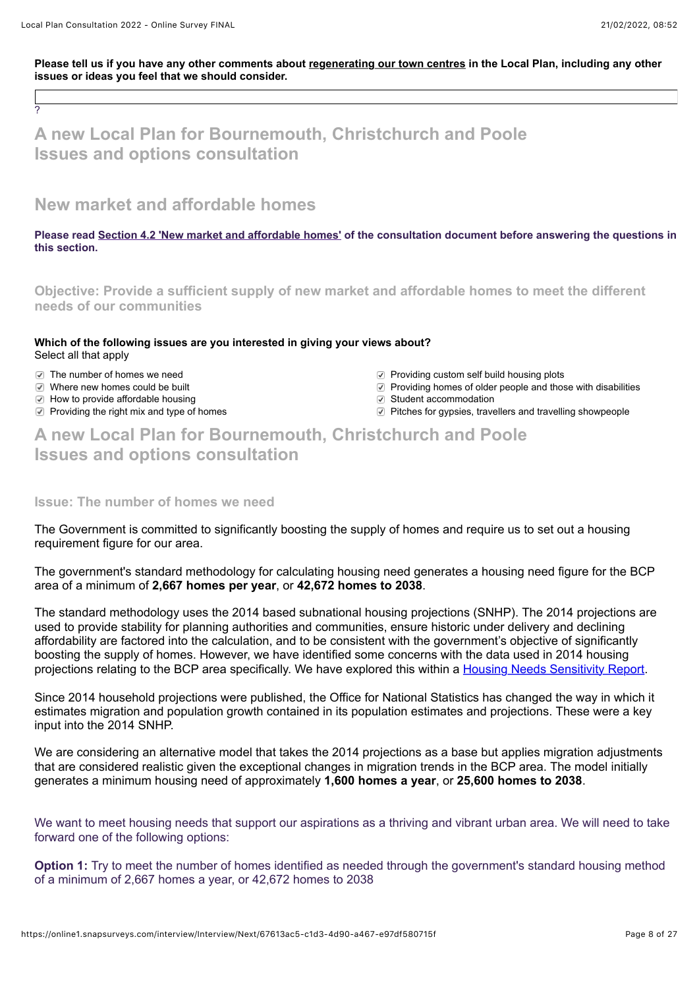?

Please tell us if you have any other comments about regenerating our town centres in the Local Plan, including any other **issues or ideas you feel that we should consider.**

**A new Local Plan for Bournemouth, Christchurch and Poole Issues and options consultation**

**New market and affordable homes**

**Please read [Section 4.2 'New market and affordable homes'](https://storymaps.arcgis.com/collections/f14976df158c482da090ef11c33afe79?item=6) of the consultation document before answering the questions in this section.**

**Objective: Provide a sufficient supply of new market and affordable homes to meet the different needs of our communities**

## **Which of the following issues are you interested in giving your views about?**  Select all that apply

- 
- 
- **E** How to provide affordable housing Student accommodation
- 
- The number of homes we need example and providing custom self build housing plots
- $\heartsuit$  Where new homes could be built  $\heartsuit$  Providing homes of older people and those with disabilities
	-
- **Providing the right mix and type of homes** Pitches for gypsies, travellers and travelling showpeople

**A new Local Plan for Bournemouth, Christchurch and Poole Issues and options consultation**

## **Issue: The number of homes we need**

The Government is committed to significantly boosting the supply of homes and require us to set out a housing requirement figure for our area.

The government's standard methodology for calculating housing need generates a housing need figure for the BCP area of a minimum of **2,667 homes per year**, or **42,672 homes to 2038**.

The standard methodology uses the 2014 based subnational housing projections (SNHP). The 2014 projections are used to provide stability for planning authorities and communities, ensure historic under delivery and declining affordability are factored into the calculation, and to be consistent with the government's objective of significantly boosting the supply of homes. However, we have identified some concerns with the data used in 2014 housing projections relating to the BCP area specifically. We have explored this within a [Housing Needs Sensitivity Report](https://www.bcpcouncil.gov.uk/Planning-and-building-control/Planning-policy/BCP-Local-Plan/BCP-Local-Plan.aspx).

Since 2014 household projections were published, the Office for National Statistics has changed the way in which it estimates migration and population growth contained in its population estimates and projections. These were a key input into the 2014 SNHP.

We are considering an alternative model that takes the 2014 projections as a base but applies migration adjustments that are considered realistic given the exceptional changes in migration trends in the BCP area. The model initially generates a minimum housing need of approximately **1,600 homes a year**, or **25,600 homes to 2038**.

We want to meet housing needs that support our aspirations as a thriving and vibrant urban area. We will need to take forward one of the following options:

**Option 1:** Try to meet the number of homes identified as needed through the government's standard housing method of a minimum of 2,667 homes a year, or 42,672 homes to 2038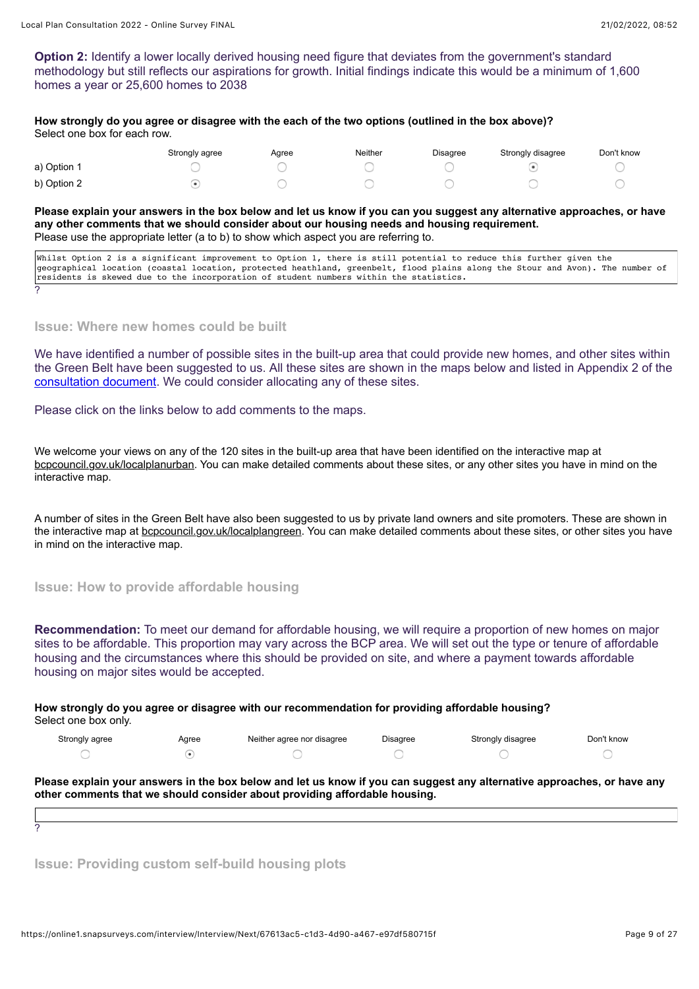**Option 2:** Identify a lower locally derived housing need figure that deviates from the government's standard methodology but still reflects our aspirations for growth. Initial findings indicate this would be a minimum of 1,600 homes a year or 25,600 homes to 2038

**How strongly do you agree or disagree with the each of the two options (outlined in the box above)?** Select one box for each row.

|             | Strongly agree | Aaree | Neither | Disagree | Strongly disagree | Don't know |
|-------------|----------------|-------|---------|----------|-------------------|------------|
| a) Option 1 |                |       |         |          |                   |            |
| b) Option 2 |                |       |         |          |                   |            |

**Please explain your answers in the box below and let us know if you can you suggest any alternative approaches, or have any other comments that we should consider about our housing needs and housing requirement.** Please use the appropriate letter (a to b) to show which aspect you are referring to.

| Whilst Option 2 is a significant improvement to Option 1, there is still potential to reduce this further given the            |
|--------------------------------------------------------------------------------------------------------------------------------|
| geographical location (coastal location, protected heathland, greenbelt, flood plains along the Stour and Avon). The number of |
| residents is skewed due to the incorporation of student numbers within the statistics.                                         |
|                                                                                                                                |

**Issue: Where new homes could be built**

We have identified a number of possible sites in the built-up area that could provide new homes, and other sites within the Green Belt have been suggested to us. All these sites are shown in the maps below and listed in Appendix 2 of the [consultation document](https://haveyoursay.bcpcouncil.gov.uk/10099/widgets/30158/documents/22228). We could consider allocating any of these sites.

Please click on the links below to add comments to the maps.

We welcome your views on any of the 120 sites in the built-up area that have been identified on the interactive map at [bcpcouncil.gov.uk/localplanurban](https://bcpcouncil.gov.uk/localplanurban). You can make detailed comments about these sites, or any other sites you have in mind on the interactive map.

A number of sites in the Green Belt have also been suggested to us by private land owners and site promoters. These are shown in the interactive map at **bcpcouncil.gov.uk/localplangreen**. You can make detailed comments about these sites, or other sites you have in mind on the interactive map.

**Issue: How to provide affordable housing**

**Recommendation:** To meet our demand for affordable housing, we will require a proportion of new homes on major sites to be affordable. This proportion may vary across the BCP area. We will set out the type or tenure of affordable housing and the circumstances where this should be provided on site, and where a payment towards affordable housing on major sites would be accepted.

**How strongly do you agree or disagree with our recommendation for providing affordable housing?** Select one box only.

| Strongly agree | Aaree | Neither agree nor disagree | Disagree | Strongly disagree | Don't know |
|----------------|-------|----------------------------|----------|-------------------|------------|
|                |       |                            |          |                   |            |

**Please explain your answers in the box below and let us know if you can suggest any alternative approaches, or have any other comments that we should consider about providing affordable housing.**

?

**Issue: Providing custom self-build housing plots**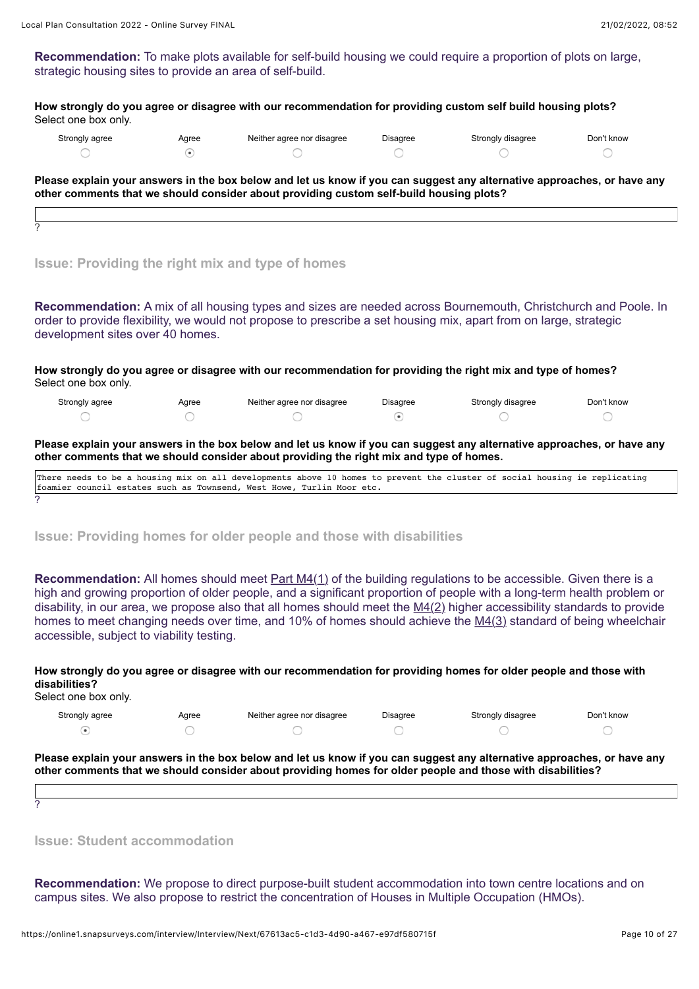?

**Recommendation:** To make plots available for self-build housing we could require a proportion of plots on large, strategic housing sites to provide an area of self-build.

**How strongly do you agree or disagree with our recommendation for providing custom self build housing plots?** Select one box only.

| Strongly agree | Agree | Neither agree nor disagree | <b>Disagree</b> | Strongly disagree | Don't know |
|----------------|-------|----------------------------|-----------------|-------------------|------------|
|                |       |                            |                 |                   |            |

**Please explain your answers in the box below and let us know if you can suggest any alternative approaches, or have any other comments that we should consider about providing custom self-build housing plots?**

## **Issue: Providing the right mix and type of homes**

**Recommendation:** A mix of all housing types and sizes are needed across Bournemouth, Christchurch and Poole. In order to provide flexibility, we would not propose to prescribe a set housing mix, apart from on large, strategic development sites over 40 homes.

**How strongly do you agree or disagree with our recommendation for providing the right mix and type of homes?** Select one box only.

| Strongly agree | Agree | Neither agree nor disagree | Disagree | Strongly disagree | Don't know |
|----------------|-------|----------------------------|----------|-------------------|------------|
|                |       |                            |          |                   |            |

#### **Please explain your answers in the box below and let us know if you can suggest any alternative approaches, or have any other comments that we should consider about providing the right mix and type of homes.**

| There needs to be a housing mix on all developments above 10 homes to prevent the cluster of social housing ie replicating |  |  |  |  |  |  |  |  |  |  |  |
|----------------------------------------------------------------------------------------------------------------------------|--|--|--|--|--|--|--|--|--|--|--|
| Ifoamier council estates such as Townsend, West Howe, Turlin Moor etc.                                                     |  |  |  |  |  |  |  |  |  |  |  |
|                                                                                                                            |  |  |  |  |  |  |  |  |  |  |  |

#### **Issue: Providing homes for older people and those with disabilities**

**Recommendation:** All homes should meet **Part M4(1)** of the building regulations to be accessible. Given there is a high and growing proportion of older people, and a significant proportion of people with a long-term health problem or disability, in our area, we propose also that all homes should meet the [M4\(2\)](https://assets.publishing.service.gov.uk/government/uploads/system/uploads/attachment_data/file/540330/BR_PDF_AD_M1_2015_with_2016_amendments_V3.pdf) higher accessibility standards to provide homes to meet changing needs over time, and 10% of homes should achieve the [M4\(3\)](https://assets.publishing.service.gov.uk/government/uploads/system/uploads/attachment_data/file/540330/BR_PDF_AD_M1_2015_with_2016_amendments_V3.pdf) standard of being wheelchair accessible, subject to viability testing.

## **How strongly do you agree or disagree with our recommendation for providing homes for older people and those with disabilities?**

Select one box only. Strongly agree Agree Agree Neither agree nor disagree Disagree Strongly disagree Don't know  $\sqrt{ }$ 

**Please explain your answers in the box below and let us know if you can suggest any alternative approaches, or have any other comments that we should consider about providing homes for older people and those with disabilities?**

?

**Issue: Student accommodation**

**Recommendation:** We propose to direct purpose-built student accommodation into town centre locations and on campus sites. We also propose to restrict the concentration of Houses in Multiple Occupation (HMOs).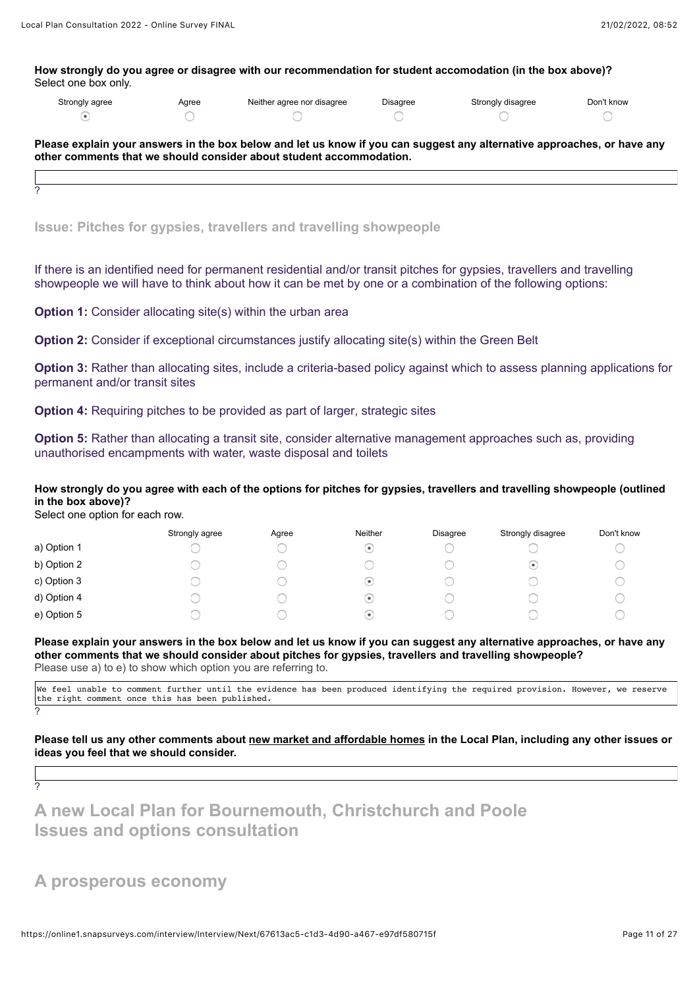**How strongly do you agree or disagree with our recommendation for student accomodation (in the box above)?** Select one box only.

| Strongly agree | Agree | Neither agree nor disagree | Disaaree | Strongly disagree | Don't know |
|----------------|-------|----------------------------|----------|-------------------|------------|
|                |       |                            |          |                   |            |

**Please explain your answers in the box below and let us know if you can suggest any alternative approaches, or have any other comments that we should consider about student accommodation.**

?

**Issue: Pitches for gypsies, travellers and travelling showpeople**

If there is an identified need for permanent residential and/or transit pitches for gypsies, travellers and travelling showpeople we will have to think about how it can be met by one or a combination of the following options:

**Option 1:** Consider allocating site(s) within the urban area

**Option 2:** Consider if exceptional circumstances justify allocating site(s) within the Green Belt

**Option 3:** Rather than allocating sites, include a criteria-based policy against which to assess planning applications for permanent and/or transit sites

**Option 4:** Requiring pitches to be provided as part of larger, strategic sites

**Option 5:** Rather than allocating a transit site, consider alternative management approaches such as, providing unauthorised encampments with water, waste disposal and toilets

### **How strongly do you agree with each of the options for pitches for gypsies, travellers and travelling showpeople (outlined in the box above)?**

Select one option for each row.

|             | Strongly agree | Agree | <b>Neither</b>           | Disagree | Strongly disagree | Don't know |
|-------------|----------------|-------|--------------------------|----------|-------------------|------------|
| a) Option 1 |                |       | $\left( \bullet \right)$ |          |                   |            |
| b) Option 2 |                |       |                          |          | ۰.                |            |
| c) Option 3 |                |       | ( e )                    |          |                   |            |
| d) Option 4 |                |       | ( ه                      |          |                   |            |
| e) Option 5 |                |       | $($ $\bullet$ $)$        |          |                   |            |

**Please explain your answers in the box below and let us know if you can suggest any alternative approaches, or have any other comments that we should consider about pitches for gypsies, travellers and travelling showpeople?** Please use a) to e) to show which option you are referring to.

We feel unable to comment further until the evidence has been produced identifying the required provision. However, we reserve the right comment once this has been published.

**Please tell us any other comments about new market and affordable homes in the Local Plan, including any other issues or ideas you feel that we should consider.**

?

?

**A new Local Plan for Bournemouth, Christchurch and Poole Issues and options consultation**

## **A prosperous economy**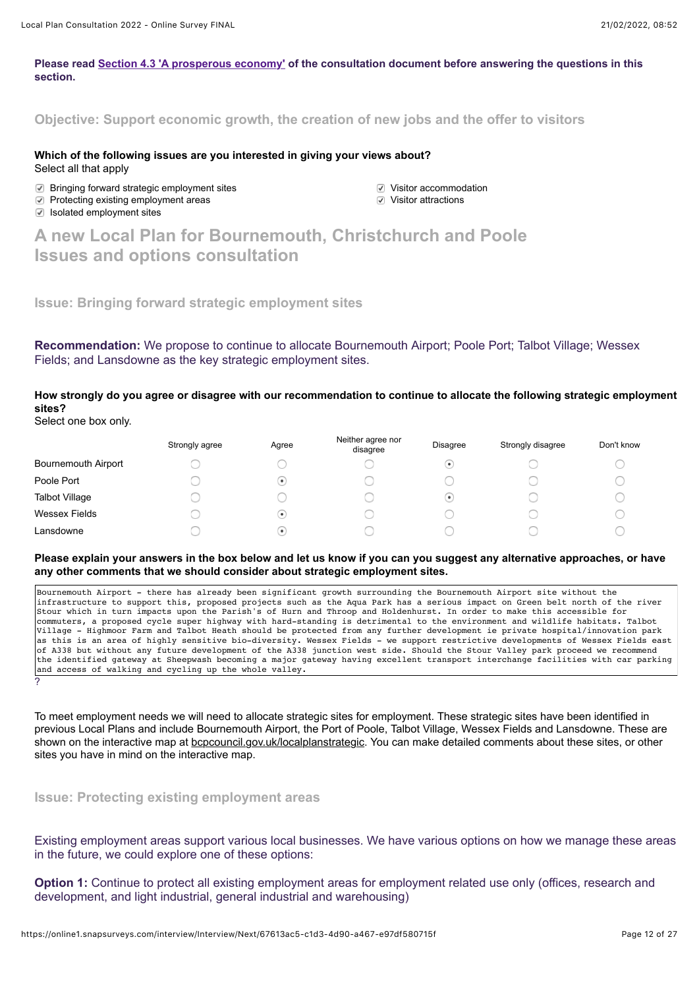#### **Please read [Section 4.3 'A prosperous economy'](https://storymaps.arcgis.com/collections/f14976df158c482da090ef11c33afe79?item=7) of the consultation document before answering the questions in this section.**

**Objective: Support economic growth, the creation of new jobs and the offer to visitors**

**Which of the following issues are you interested in giving your views about?**  Select all that apply

**2** Bringing forward strategic employment sites values values values values Visitor accommodation<br>
values values values values values values values values values values values values values values values valu

 $\heartsuit$  Protecting existing employment areas  $\triangleright$  Isolated employment sites

**A new Local Plan for Bournemouth, Christchurch and Poole Issues and options consultation**

**Issue: Bringing forward strategic employment sites**

**Recommendation:** We propose to continue to allocate Bournemouth Airport; Poole Port; Talbot Village; Wessex Fields; and Lansdowne as the key strategic employment sites.

**How strongly do you agree or disagree with our recommendation to continue to allocate the following strategic employment sites?**

Select one box only.

|                            | Strongly agree | Agree                    | Neither agree nor<br>disagree | Disagree                 | Strongly disagree | Don't know |
|----------------------------|----------------|--------------------------|-------------------------------|--------------------------|-------------------|------------|
| <b>Bournemouth Airport</b> |                |                          |                               | $\left( \bullet \right)$ |                   |            |
| Poole Port                 |                | $\left( \bullet \right)$ |                               |                          |                   |            |
| <b>Talbot Village</b>      |                |                          |                               | $(\bullet)$              |                   |            |
| Wessex Fields              |                | $\left( \bullet \right)$ |                               |                          |                   |            |
| Lansdowne                  |                | $\bullet$                |                               |                          |                   |            |

**Please explain your answers in the box below and let us know if you can you suggest any alternative approaches, or have any other comments that we should consider about strategic employment sites.**

Bournemouth Airport - there has already been significant growth surrounding the Bournemouth Airport site without the infrastructure to support this, proposed projects such as the Aqua Park has a serious impact on Green belt north of the river Stour which in turn impacts upon the Parish's of Hurn and Throop and Holdenhurst. In order to make this accessible for commuters, a proposed cycle super highway with hard-standing is detrimental to the environment and wildlife habitats. Talbot Village - Highmoor Farm and Talbot Heath should be protected from any further development ie private hospital/innovation park as this is an area of highly sensitive bio-diversity. Wessex Fields - we support restrictive developments of Wessex Fields east of A338 but without any future development of the A338 junction west side. Should the Stour Valley park proceed we recommend the identified gateway at Sheepwash becoming a major gateway having excellent transport interchange facilities with car parking and access of walking and cycling up the whole valley. ?

To meet employment needs we will need to allocate strategic sites for employment. These strategic sites have been identified in previous Local Plans and include Bournemouth Airport, the Port of Poole, Talbot Village, Wessex Fields and Lansdowne. These are shown on the interactive map at [bcpcouncil.gov.uk/localplanstrategic](https://bcpcouncil.gov.uk/localplanstrategic). You can make detailed comments about these sites, or other sites you have in mind on the interactive map.

**Issue: Protecting existing employment areas**

Existing employment areas support various local businesses. We have various options on how we manage these areas in the future, we could explore one of these options:

**Option 1:** Continue to protect all existing employment areas for employment related use only (offices, research and development, and light industrial, general industrial and warehousing)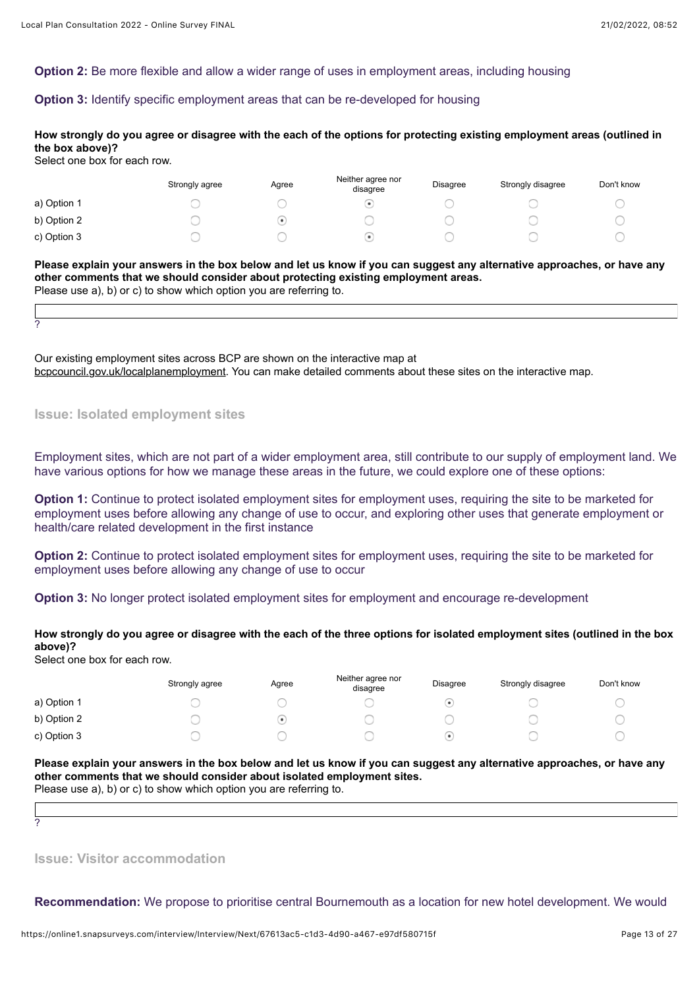### **Option 2:** Be more flexible and allow a wider range of uses in employment areas, including housing

## **Option 3:** Identify specific employment areas that can be re-developed for housing

## **How strongly do you agree or disagree with the each of the options for protecting existing employment areas (outlined in the box above)?**

Select one box for each row.

?

|             | Strongly agree | Agree | Neither agree nor<br>disagree | <b>Disagree</b> | Strongly disagree | Don't know |
|-------------|----------------|-------|-------------------------------|-----------------|-------------------|------------|
| a) Option 1 |                |       |                               |                 |                   |            |
| b) Option 2 |                | ٠     |                               |                 |                   |            |
| c) Option 3 |                |       |                               |                 |                   |            |

**Please explain your answers in the box below and let us know if you can suggest any alternative approaches, or have any other comments that we should consider about protecting existing employment areas.** 

Please use a), b) or c) to show which option you are referring to.

Our existing employment sites across BCP are shown on the interactive map at [bcpcouncil.gov.uk/localplanemployment](https://bcpcouncil.gov.uk/localplanemployment). You can make detailed comments about these sites on the interactive map.

**Issue: Isolated employment sites**

Employment sites, which are not part of a wider employment area, still contribute to our supply of employment land. We have various options for how we manage these areas in the future, we could explore one of these options:

**Option 1:** Continue to protect isolated employment sites for employment uses, requiring the site to be marketed for employment uses before allowing any change of use to occur, and exploring other uses that generate employment or health/care related development in the first instance

**Option 2:** Continue to protect isolated employment sites for employment uses, requiring the site to be marketed for employment uses before allowing any change of use to occur

**Option 3:** No longer protect isolated employment sites for employment and encourage re-development

**How strongly do you agree or disagree with the each of the three options for isolated employment sites (outlined in the box above)?**

Select one box for each row.

|             | Strongly agree | Agree | Neither agree nor<br>disagree | Disagree | Strongly disagree | Don't know |
|-------------|----------------|-------|-------------------------------|----------|-------------------|------------|
| a) Option 1 |                |       |                               |          |                   |            |
| b) Option 2 |                | ٠     |                               |          |                   |            |
| c) Option 3 |                |       |                               |          |                   |            |

**Please explain your answers in the box below and let us know if you can suggest any alternative approaches, or have any other comments that we should consider about isolated employment sites.**  Please use a), b) or c) to show which option you are referring to.

?

**Issue: Visitor accommodation**

**Recommendation:** We propose to prioritise central Bournemouth as a location for new hotel development. We would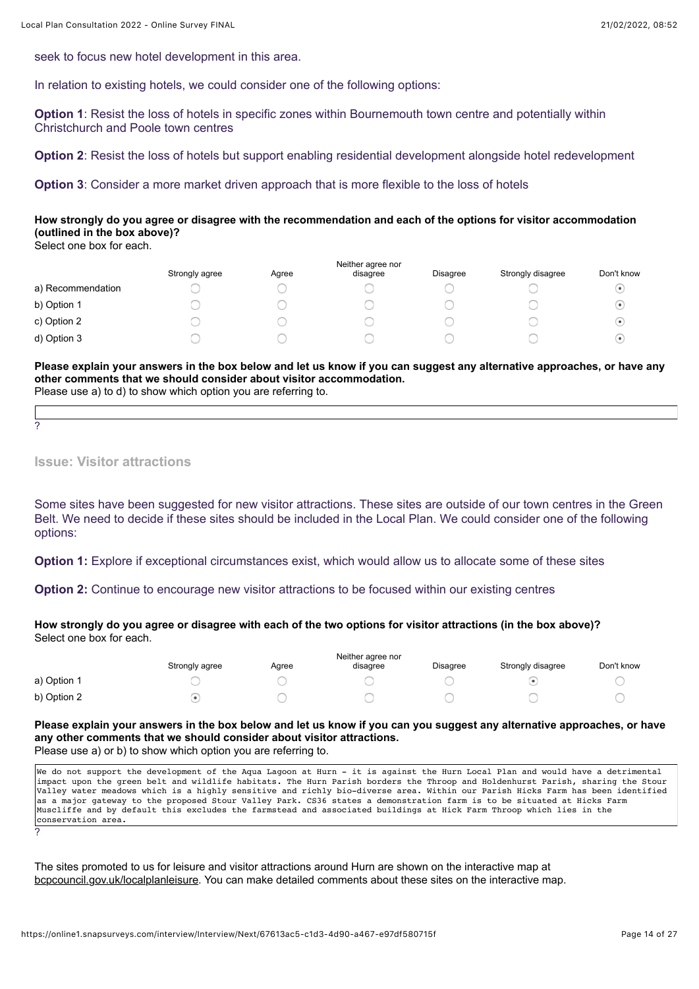seek to focus new hotel development in this area.

In relation to existing hotels, we could consider one of the following options:

**Option 1:** Resist the loss of hotels in specific zones within Bournemouth town centre and potentially within Christchurch and Poole town centres

**Option 2**: Resist the loss of hotels but support enabling residential development alongside hotel redevelopment

**Option 3**: Consider a more market driven approach that is more flexible to the loss of hotels

## **How strongly do you agree or disagree with the recommendation and each of the options for visitor accommodation (outlined in the box above)?**

Select one box for each.

|                   | Neither agree nor |       |          |                 |                   |            |  |  |  |  |  |
|-------------------|-------------------|-------|----------|-----------------|-------------------|------------|--|--|--|--|--|
|                   | Strongly agree    | Agree | disagree | <b>Disagree</b> | Strongly disagree | Don't know |  |  |  |  |  |
| a) Recommendation |                   |       |          |                 |                   | $\bullet$  |  |  |  |  |  |
| b) Option 1       |                   |       |          |                 |                   | $\bullet$  |  |  |  |  |  |
| c) Option 2       |                   |       |          |                 |                   | $\bullet$  |  |  |  |  |  |
| d) Option 3       |                   |       |          |                 |                   | $\bullet$  |  |  |  |  |  |
|                   |                   |       |          |                 |                   |            |  |  |  |  |  |

**Please explain your answers in the box below and let us know if you can suggest any alternative approaches, or have any other comments that we should consider about visitor accommodation.**  Please use a) to d) to show which option you are referring to.

?

**Issue: Visitor attractions**

Some sites have been suggested for new visitor attractions. These sites are outside of our town centres in the Green Belt. We need to decide if these sites should be included in the Local Plan. We could consider one of the following options:

**Option 1:** Explore if exceptional circumstances exist, which would allow us to allocate some of these sites

**Option 2:** Continue to encourage new visitor attractions to be focused within our existing centres

**How strongly do you agree or disagree with each of the two options for visitor attractions (in the box above)?**  Select one box for each.

|             |                |       | Neither agree nor |          |                   |            |
|-------------|----------------|-------|-------------------|----------|-------------------|------------|
|             | Strongly agree | Agree | disagree          | Disagree | Strongly disagree | Don't know |
| a) Option 1 |                |       |                   |          |                   |            |
| b) Option 2 |                |       |                   |          |                   |            |

**Please explain your answers in the box below and let us know if you can you suggest any alternative approaches, or have any other comments that we should consider about visitor attractions.** Please use a) or b) to show which option you are referring to.

We do not support the development of the Aqua Lagoon at Hurn - it is against the Hurn Local Plan and would have a detrimental impact upon the green belt and wildlife habitats. The Hurn Parish borders the Throop and Holdenhurst Parish, sharing the Stour Valley water meadows which is a highly sensitive and richly bio-diverse area. Within our Parish Hicks Farm has been identified as a major gateway to the proposed Stour Valley Park. CS36 states a demonstration farm is to be situated at Hicks Farm Muscliffe and by default this excludes the farmstead and associated buildings at Hick Farm Throop which lies in the conservation area. ?

The sites promoted to us for leisure and visitor attractions around Hurn are shown on the interactive map at [bcpcouncil.gov.uk/localplanleisure](https://bcpcouncil.gov.uk/localplanleisure). You can make detailed comments about these sites on the interactive map.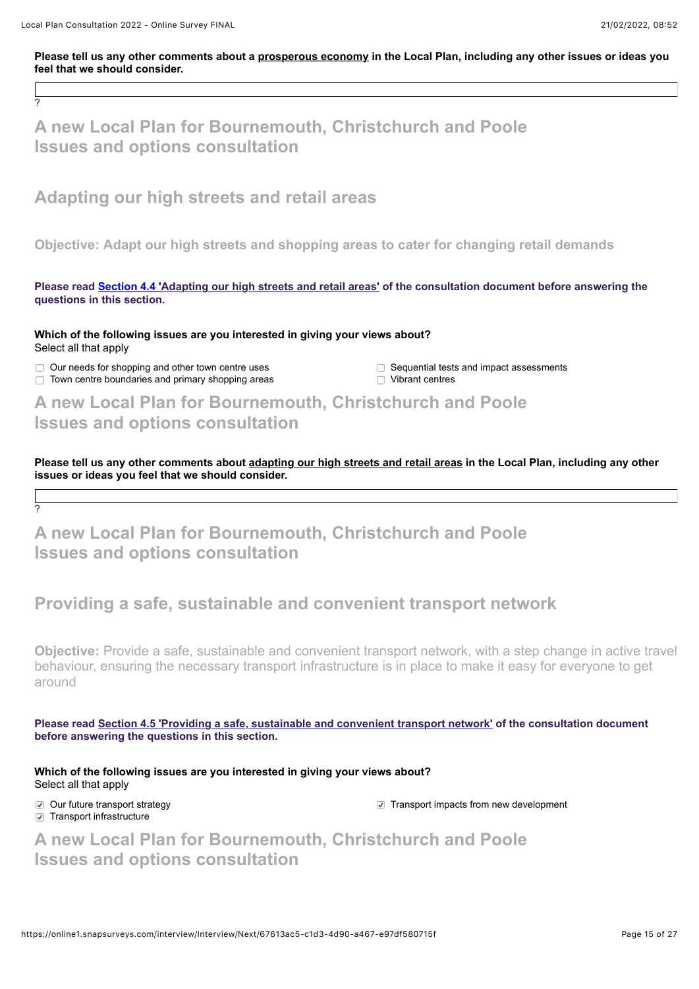?

?

## **Please tell us any other comments about a prosperous economy in the Local Plan, including any other issues or ideas you feel that we should consider.**

**A new Local Plan for Bournemouth, Christchurch and Poole Issues and options consultation**

## **Adapting our high streets and retail areas**

**Objective: Adapt our high streets and shopping areas to cater for changing retail demands**

**Please read [Section 4.4 'Adapting our high streets and retail areas'](https://storymaps.arcgis.com/collections/f14976df158c482da090ef11c33afe79?item=8) of the consultation document before answering the questions in this section.**

**Which of the following issues are you interested in giving your views about?** Select all that apply

 $\Box$  Our needs for shopping and other town centre uses  $\Box$  Sequential tests and impact assessments

 $\Box$  Town centre boundaries and primary shopping areas  $\Box$  Vibrant centres

**A new Local Plan for Bournemouth, Christchurch and Poole Issues and options consultation**

**Please tell us any other comments about adapting our high streets and retail areas in the Local Plan, including any other issues or ideas you feel that we should consider.**

# **A new Local Plan for Bournemouth, Christchurch and Poole Issues and options consultation**

# **Providing a safe, sustainable and convenient transport network**

**Objective:** Provide a safe, sustainable and convenient transport network, with a step change in active travel behaviour, ensuring the necessary transport infrastructure is in place to make it easy for everyone to get around

**Please read [Section 4.5 'Providing a safe, sustainable and convenient transport network'](https://storymaps.arcgis.com/collections/f14976df158c482da090ef11c33afe79?item=9) of the consultation document before answering the questions in this section.**

**Which of the following issues are you interested in giving your views about?** Select all that apply

 $\nabla$  Transport infrastructure

Our future transport strategy Transport impacts from new development

**A new Local Plan for Bournemouth, Christchurch and Poole Issues and options consultation**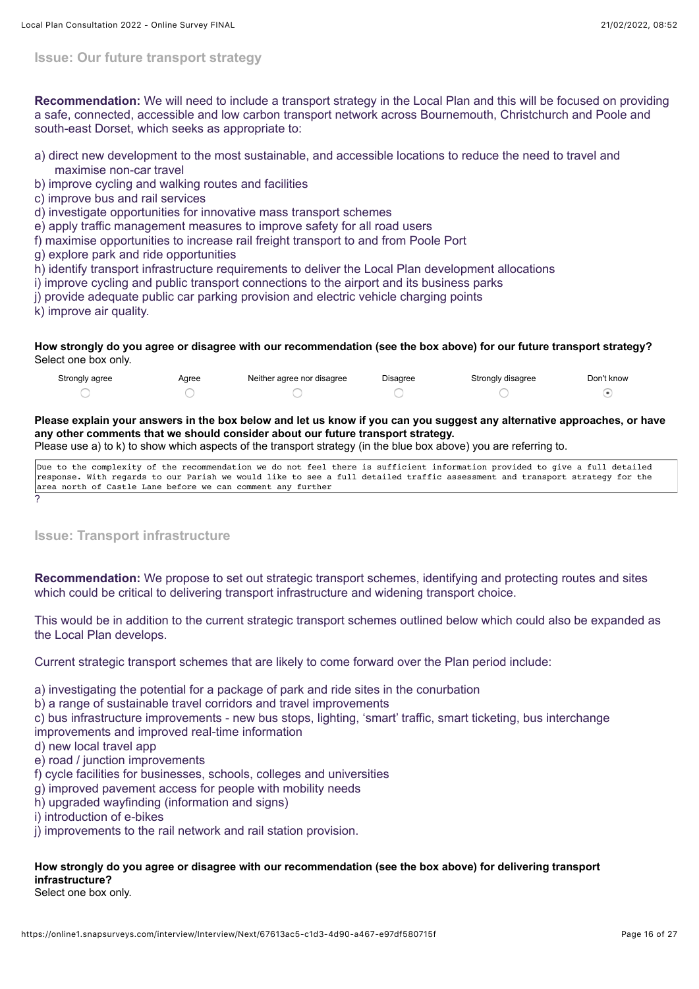**Issue: Our future transport strategy**

**Recommendation:** We will need to include a transport strategy in the Local Plan and this will be focused on providing a safe, connected, accessible and low carbon transport network across Bournemouth, Christchurch and Poole and south-east Dorset, which seeks as appropriate to:

- a) direct new development to the most sustainable, and accessible locations to reduce the need to travel and maximise non-car travel
- b) improve cycling and walking routes and facilities
- c) improve bus and rail services
- d) investigate opportunities for innovative mass transport schemes
- e) apply traffic management measures to improve safety for all road users
- f) maximise opportunities to increase rail freight transport to and from Poole Port
- g) explore park and ride opportunities
- h) identify transport infrastructure requirements to deliver the Local Plan development allocations
- i) improve cycling and public transport connections to the airport and its business parks
- j) provide adequate public car parking provision and electric vehicle charging points
- k) improve air quality.

?

#### **How strongly do you agree or disagree with our recommendation (see the box above) for our future transport strategy?** Select one box only.

| Strongly agree | Aaree | Neither agree nor disagree | Disagree | Strongly disagree | Don't know |
|----------------|-------|----------------------------|----------|-------------------|------------|
|                |       |                            |          |                   |            |

## **Please explain your answers in the box below and let us know if you can you suggest any alternative approaches, or have any other comments that we should consider about our future transport strategy.**

Please use a) to k) to show which aspects of the transport strategy (in the blue box above) you are referring to.

Due to the complexity of the recommendation we do not feel there is sufficient information provided to give a full detailed response. With regards to our Parish we would like to see a full detailed traffic assessment and transport strategy for the area north of Castle Lane before we can comment any further

**Issue: Transport infrastructure**

**Recommendation:** We propose to set out strategic transport schemes, identifying and protecting routes and sites which could be critical to delivering transport infrastructure and widening transport choice.

This would be in addition to the current strategic transport schemes outlined below which could also be expanded as the Local Plan develops.

Current strategic transport schemes that are likely to come forward over the Plan period include:

a) investigating the potential for a package of park and ride sites in the conurbation

b) a range of sustainable travel corridors and travel improvements

c) bus infrastructure improvements - new bus stops, lighting, 'smart' traffic, smart ticketing, bus interchange improvements and improved real-time information

- d) new local travel app
- e) road / junction improvements
- f) cycle facilities for businesses, schools, colleges and universities
- g) improved pavement access for people with mobility needs
- h) upgraded wayfinding (information and signs)
- i) introduction of e-bikes
- j) improvements to the rail network and rail station provision.

## **How strongly do you agree or disagree with our recommendation (see the box above) for delivering transport infrastructure?**

Select one box only.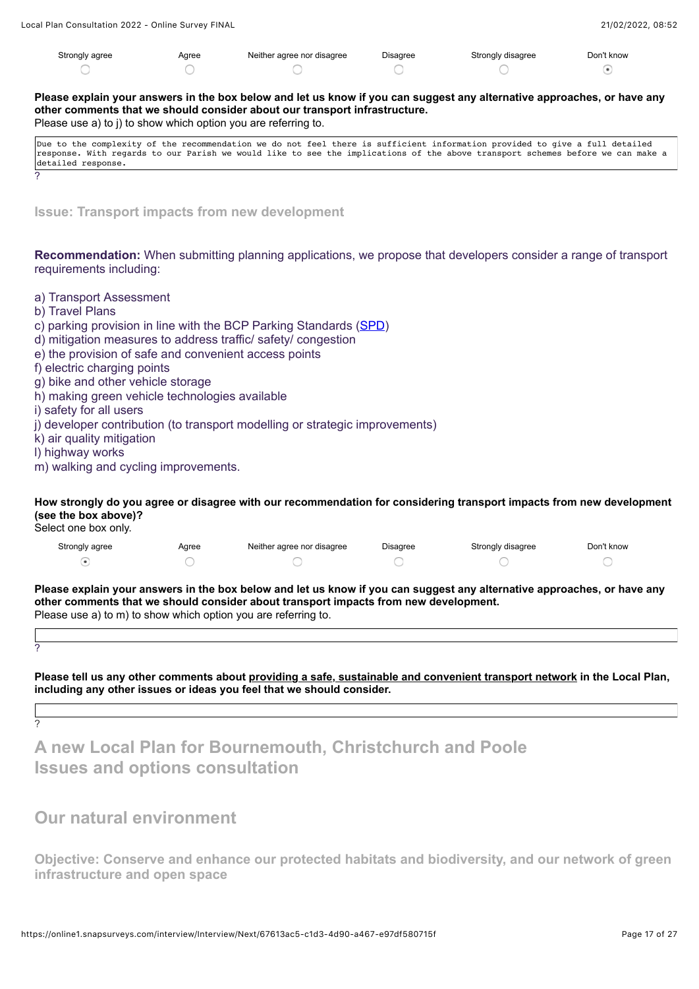| Strongly agree | Agree | Neither agree nor disagree | Disagree | Strongly disagree | Don't know |
|----------------|-------|----------------------------|----------|-------------------|------------|
|                |       |                            |          |                   |            |

**Please explain your answers in the box below and let us know if you can suggest any alternative approaches, or have any other comments that we should consider about our transport infrastructure.** 

Please use a) to j) to show which option you are referring to.

| Due to the complexity of the recommendation we do not feel there is sufficient information provided to give a full detailed    |  |  |  |  |  |  |  |  |  |  |  |  |
|--------------------------------------------------------------------------------------------------------------------------------|--|--|--|--|--|--|--|--|--|--|--|--|
| response. With regards to our Parish we would like to see the implications of the above transport schemes before we can make a |  |  |  |  |  |  |  |  |  |  |  |  |
| detailed response.                                                                                                             |  |  |  |  |  |  |  |  |  |  |  |  |
|                                                                                                                                |  |  |  |  |  |  |  |  |  |  |  |  |

**Issue: Transport impacts from new development**

**Recommendation:** When submitting planning applications, we propose that developers consider a range of transport requirements including:

- a) Transport Assessment
- b) Travel Plans
- c) parking provision in line with the BCP Parking Standards [\(SPD\)](https://democracy.bcpcouncil.gov.uk/documents/s18926/Enc.%201%20for%20Bournemouth%20Christchurch%20Poole%20Parking%20Standards%20Supplementary%20Planning%20Document.pdf)
- d) mitigation measures to address traffic/ safety/ congestion
- e) the provision of safe and convenient access points
- f) electric charging points
- g) bike and other vehicle storage
- h) making green vehicle technologies available
- i) safety for all users
- j) developer contribution (to transport modelling or strategic improvements)
- k) air quality mitigation
- l) highway works
- m) walking and cycling improvements.

**How strongly do you agree or disagree with our recommendation for considering transport impacts from new development (see the box above)?**

Select one box only.

| Strongly agree | Aaree | Neither agree nor disagree | Disagree | Strongly disagree | Don't know |
|----------------|-------|----------------------------|----------|-------------------|------------|
|                |       |                            |          |                   |            |

**Please explain your answers in the box below and let us know if you can suggest any alternative approaches, or have any other comments that we should consider about transport impacts from new development.** Please use a) to m) to show which option you are referring to.

| I<br>i |  |
|--------|--|

?

**Please tell us any other comments about providing a safe, sustainable and convenient transport network in the Local Plan, including any other issues or ideas you feel that we should consider.**

**A new Local Plan for Bournemouth, Christchurch and Poole Issues and options consultation**

## **Our natural environment**

**Objective: Conserve and enhance our protected habitats and biodiversity, and our network of green infrastructure and open space**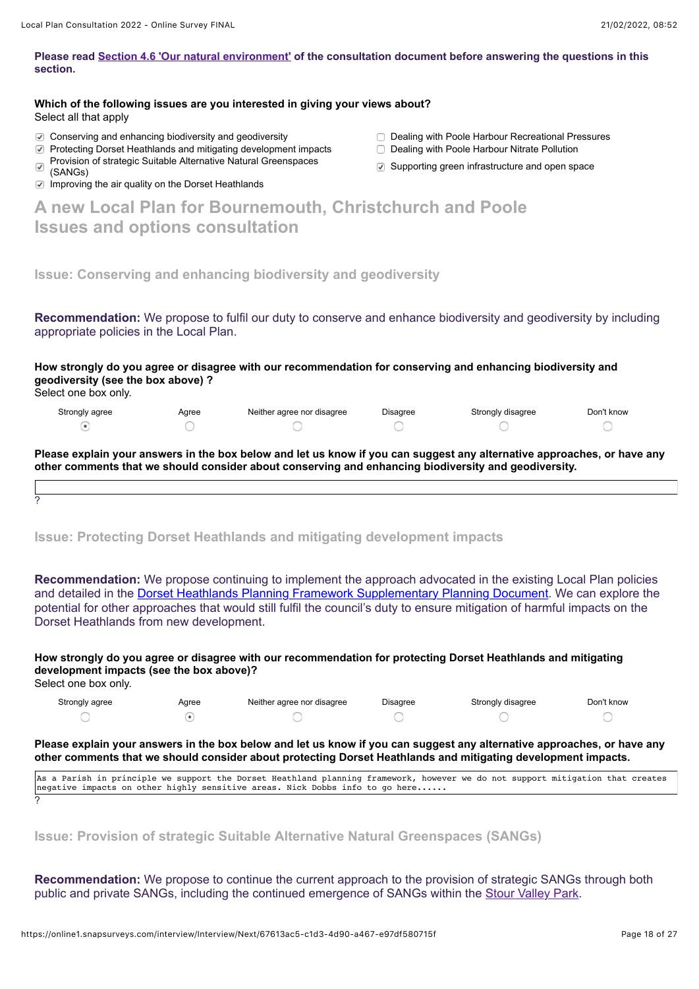### **Please read [Section 4.6 'Our natural environment'](https://storymaps.arcgis.com/collections/f14976df158c482da090ef11c33afe79?item=10) of the consultation document before answering the questions in this section.**

| Which of the following issues are you interested in giving your views about? |  |
|------------------------------------------------------------------------------|--|
| Select all that apply                                                        |  |

- Conserving and enhancing biodiversity and geodiversity Dealing with Poole Harbour Recreational Pressures
- Protecting Dorset Heathlands and mitigating development impacts Dealing with Poole Harbour Nitrate Pollution
- Provision of strategic Suitable Alternative Natural Greenspaces  $\overline{\checkmark}$
- 
- $\Box$  Improving the air quality on the Dorset Heathlands
- 
- 
- $\heartsuit$  Supporting green infrastructure and open space

| A new Local Plan for Bournemouth, Christchurch and Poole |  |  |
|----------------------------------------------------------|--|--|
| <b>Issues and options consultation</b>                   |  |  |

**Issue: Conserving and enhancing biodiversity and geodiversity**

**Recommendation:** We propose to fulfil our duty to conserve and enhance biodiversity and geodiversity by including appropriate policies in the Local Plan.

**How strongly do you agree or disagree with our recommendation for conserving and enhancing biodiversity and geodiversity (see the box above) ?**

Select one box only.

?

| Strongly agree | Agree | Neither agree nor disagree | <b>Disagree</b> | Strongly disagree | Don't know |
|----------------|-------|----------------------------|-----------------|-------------------|------------|
|                |       |                            |                 |                   |            |

**Please explain your answers in the box below and let us know if you can suggest any alternative approaches, or have any other comments that we should consider about conserving and enhancing biodiversity and geodiversity.**

**Issue: Protecting Dorset Heathlands and mitigating development impacts**

**Recommendation:** We propose continuing to implement the approach advocated in the existing Local Plan policies and detailed in the [Dorset Heathlands Planning Framework Supplementary Planning Document](https://democracy.bcpcouncil.gov.uk/documents/s16506/Appendix%201%20-%20Dorset%20Heathlands%20Planning%20Framework%202020-2025.pdf). We can explore the potential for other approaches that would still fulfil the council's duty to ensure mitigation of harmful impacts on the Dorset Heathlands from new development.

**How strongly do you agree or disagree with our recommendation for protecting Dorset Heathlands and mitigating development impacts (see the box above)?**

Select one box only.

| Strongly agree | Agree | Neither agree nor disagree | Disagree | Strongly disagree | Don't know |
|----------------|-------|----------------------------|----------|-------------------|------------|
|                |       |                            |          |                   |            |

**Please explain your answers in the box below and let us know if you can suggest any alternative approaches, or have any other comments that we should consider about protecting Dorset Heathlands and mitigating development impacts.**

As a Parish in principle we support the Dorset Heathland planning framework, however we do not support mitigation that creates negative impacts on other highly sensitive areas. Nick Dobbs info to go here...... ?

**Issue: Provision of strategic Suitable Alternative Natural Greenspaces (SANGs)**

**Recommendation:** We propose to continue the current approach to the provision of strategic SANGs through both public and private SANGs, including the continued emergence of SANGs within the [Stour Valley Park.](https://www.bcpcouncil.gov.uk/News/News-Features/Future-Parks/Stour-Valley-Park-strategy.aspx)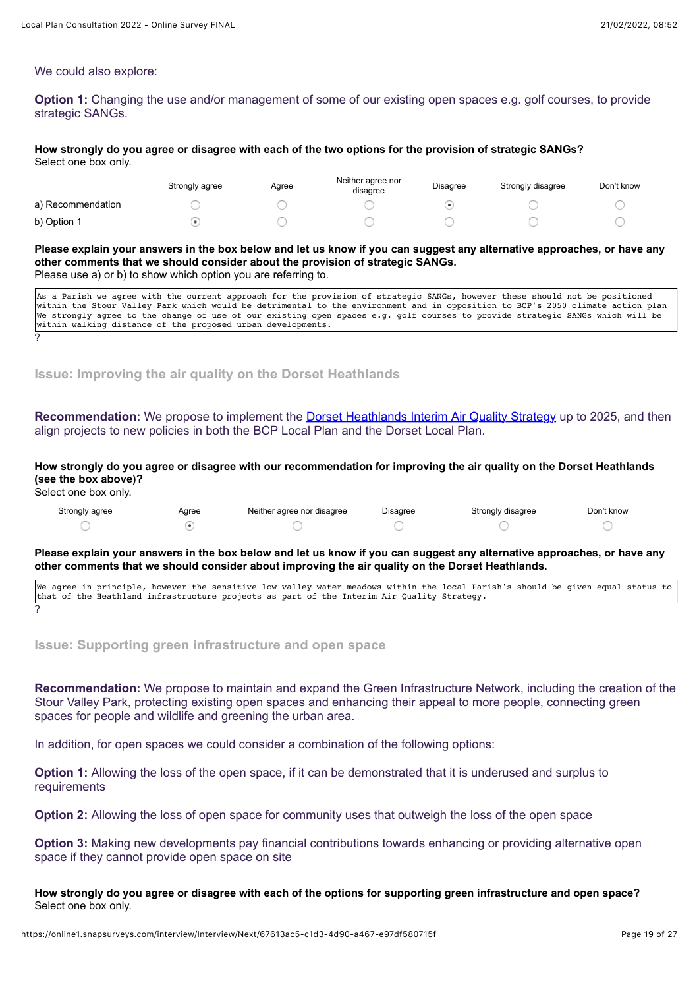#### We could also explore:

**Option 1:** Changing the use and/or management of some of our existing open spaces e.g. golf courses, to provide strategic SANGs.

#### **How strongly do you agree or disagree with each of the two options for the provision of strategic SANGs?** Select one box only.

|                   | Strongly agree | Agree | Neither agree nor<br>disagree | <b>Disagree</b> | Strongly disagree | Don't know |
|-------------------|----------------|-------|-------------------------------|-----------------|-------------------|------------|
| a) Recommendation |                |       |                               |                 |                   |            |
| b) Option 1       |                |       |                               |                 |                   |            |

#### **Please explain your answers in the box below and let us know if you can suggest any alternative approaches, or have any other comments that we should consider about the provision of strategic SANGs.** Please use a) or b) to show which option you are referring to.

| As a Parish we agree with the current approach for the provision of strategic SANGs, however these should not be positioned    |
|--------------------------------------------------------------------------------------------------------------------------------|
| within the Stour Valley Park which would be detrimental to the environment and in opposition to BCP's 2050 climate action plan |
| We strongly agree to the change of use of our existing open spaces e.g. golf courses to provide strategic SANGs which will be  |
| within walking distance of the proposed urban developments.                                                                    |
|                                                                                                                                |

**Issue: Improving the air quality on the Dorset Heathlands**

## **Recommendation:** We propose to implement the **Dorset Heathlands Interim Air Quality Strategy** up to 2025, and then align projects to new policies in both the BCP Local Plan and the Dorset Local Plan.

## **How strongly do you agree or disagree with our recommendation for improving the air quality on the Dorset Heathlands (see the box above)?**

Select one box only.

| Strongly agree | Aaree | Neither agree nor disagree | Disagree | Strongly disagree | Don't know |
|----------------|-------|----------------------------|----------|-------------------|------------|
|                |       |                            |          |                   |            |

**Please explain your answers in the box below and let us know if you can suggest any alternative approaches, or have any other comments that we should consider about improving the air quality on the Dorset Heathlands.**

We agree in principle, however the sensitive low valley water meadows within the local Parish's should be given equal status to that of the Heathland infrastructure projects as part of the Interim Air Quality Strategy. ?

**Issue: Supporting green infrastructure and open space**

**Recommendation:** We propose to maintain and expand the Green Infrastructure Network, including the creation of the Stour Valley Park, protecting existing open spaces and enhancing their appeal to more people, connecting green spaces for people and wildlife and greening the urban area.

In addition, for open spaces we could consider a combination of the following options:

**Option 1:** Allowing the loss of the open space, if it can be demonstrated that it is underused and surplus to requirements

**Option 2:** Allowing the loss of open space for community uses that outweigh the loss of the open space

**Option 3:** Making new developments pay financial contributions towards enhancing or providing alternative open space if they cannot provide open space on site

**How strongly do you agree or disagree with each of the options for supporting green infrastructure and open space?** Select one box only.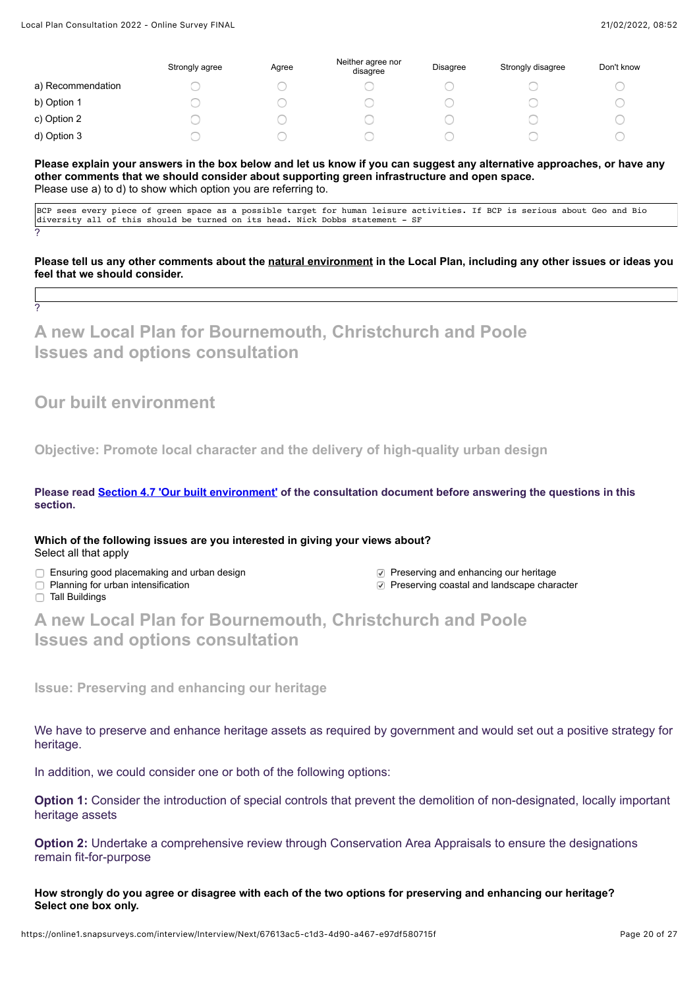|                   | Strongly agree | Agree | Neither agree nor<br>disagree | <b>Disagree</b> | Strongly disagree | Don't know |
|-------------------|----------------|-------|-------------------------------|-----------------|-------------------|------------|
| a) Recommendation |                |       |                               |                 |                   |            |
| b) Option 1       |                |       |                               |                 |                   |            |
| c) Option 2       |                |       |                               |                 |                   |            |
| d) Option 3       |                |       |                               |                 |                   |            |

#### **Please explain your answers in the box below and let us know if you can suggest any alternative approaches, or have any other comments that we should consider about supporting green infrastructure and open space.** Please use a) to d) to show which option you are referring to.

BCP sees every piece of green space as a possible target for human leisure activities. If BCP is serious about Geo and Bio diversity all of this should be turned on its head. Nick Dobbs statement - SF

**Please tell us any other comments about the natural environment in the Local Plan, including any other issues or ideas you feel that we should consider.**

**A new Local Plan for Bournemouth, Christchurch and Poole Issues and options consultation**

## **Our built environment**

**Objective: Promote local character and the delivery of high-quality urban design**

**Please read [Section 4.7 'Our built environment'](https://storymaps.arcgis.com/collections/f14976df158c482da090ef11c33afe79?item=11) of the consultation document before answering the questions in this section.**

**Which of the following issues are you interested in giving your views about?** Select all that apply

- □ Ensuring good placemaking and urban design <br>□ Preserving and enhancing our heritage <br>□ Preserving coastal and landscape chare
- 
- 
- $\nabla$  Preserving coastal and landscape character

□ Tall Buildings

?

?

**A new Local Plan for Bournemouth, Christchurch and Poole Issues and options consultation**

**Issue: Preserving and enhancing our heritage**

We have to preserve and enhance heritage assets as required by government and would set out a positive strategy for heritage.

In addition, we could consider one or both of the following options:

**Option 1:** Consider the introduction of special controls that prevent the demolition of non-designated, locally important heritage assets

**Option 2:** Undertake a comprehensive review through Conservation Area Appraisals to ensure the designations remain fit-for-purpose

**How strongly do you agree or disagree with each of the two options for preserving and enhancing our heritage? Select one box only.**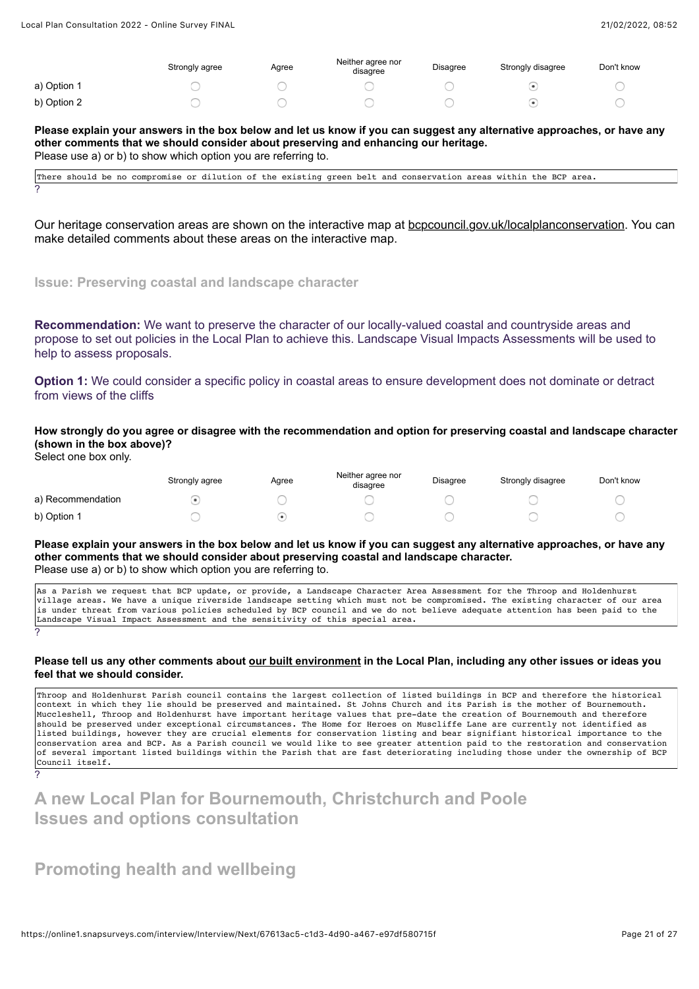|             | Strongly agree | Agree | Neither agree nor<br>disagree | Disagree | Strongly disagree | Don't know |
|-------------|----------------|-------|-------------------------------|----------|-------------------|------------|
| a) Option 1 |                |       |                               |          |                   |            |
| b) Option 2 |                |       |                               |          |                   |            |

**Please explain your answers in the box below and let us know if you can suggest any alternative approaches, or have any other comments that we should consider about preserving and enhancing our heritage.** Please use a) or b) to show which option you are referring to.

There should be no compromise or dilution of the existing green belt and conservation areas within the BCP area. ?

Our heritage conservation areas are shown on the interactive map at [bcpcouncil.gov.uk/localplanconservation](https://bcpcouncil.gov.uk/localplanconservation). You can make detailed comments about these areas on the interactive map.

## **Issue: Preserving coastal and landscape character**

**Recommendation:** We want to preserve the character of our locally-valued coastal and countryside areas and propose to set out policies in the Local Plan to achieve this. Landscape Visual Impacts Assessments will be used to help to assess proposals.

**Option 1:** We could consider a specific policy in coastal areas to ensure development does not dominate or detract from views of the cliffs

**How strongly do you agree or disagree with the recommendation and option for preserving coastal and landscape character (shown in the box above)?**

Select one box only.

?

|                   | Strongly agree | Agree | Neither agree nor<br>disagree | <b>Disagree</b> | Strongly disagree | Don't know |
|-------------------|----------------|-------|-------------------------------|-----------------|-------------------|------------|
| a) Recommendation |                |       |                               |                 |                   |            |
| b) Option 1       |                |       |                               |                 |                   |            |

**Please explain your answers in the box below and let us know if you can suggest any alternative approaches, or have any other comments that we should consider about preserving coastal and landscape character.** Please use a) or b) to show which option you are referring to.

| As a Parish we request that BCP update, or provide, a Landscape Character Area Assessment for the Throop and Holdenhurst      |
|-------------------------------------------------------------------------------------------------------------------------------|
| village areas. We have a unique riverside landscape setting which must not be compromised. The existing character of our area |
| is under threat from various policies scheduled by BCP council and we do not believe adequate attention has been paid to the  |
| Landscape Visual Impact Assessment and the sensitivity of this special area.                                                  |
|                                                                                                                               |

#### **Please tell us any other comments about our built environment in the Local Plan, including any other issues or ideas you feel that we should consider.**

Throop and Holdenhurst Parish council contains the largest collection of listed buildings in BCP and therefore the historical context in which they lie should be preserved and maintained. St Johns Church and its Parish is the mother of Bournemouth. Muccleshell, Throop and Holdenhurst have important heritage values that pre-date the creation of Bournemouth and therefore should be preserved under exceptional circumstances. The Home for Heroes on Muscliffe Lane are currently not identified as listed buildings, however they are crucial elements for conservation listing and bear signifiant historical importance to the conservation area and BCP. As a Parish council we would like to see greater attention paid to the restoration and conservation of several important listed buildings within the Parish that are fast deteriorating including those under the ownership of BCP Council itself.

# **A new Local Plan for Bournemouth, Christchurch and Poole Issues and options consultation**

## **Promoting health and wellbeing**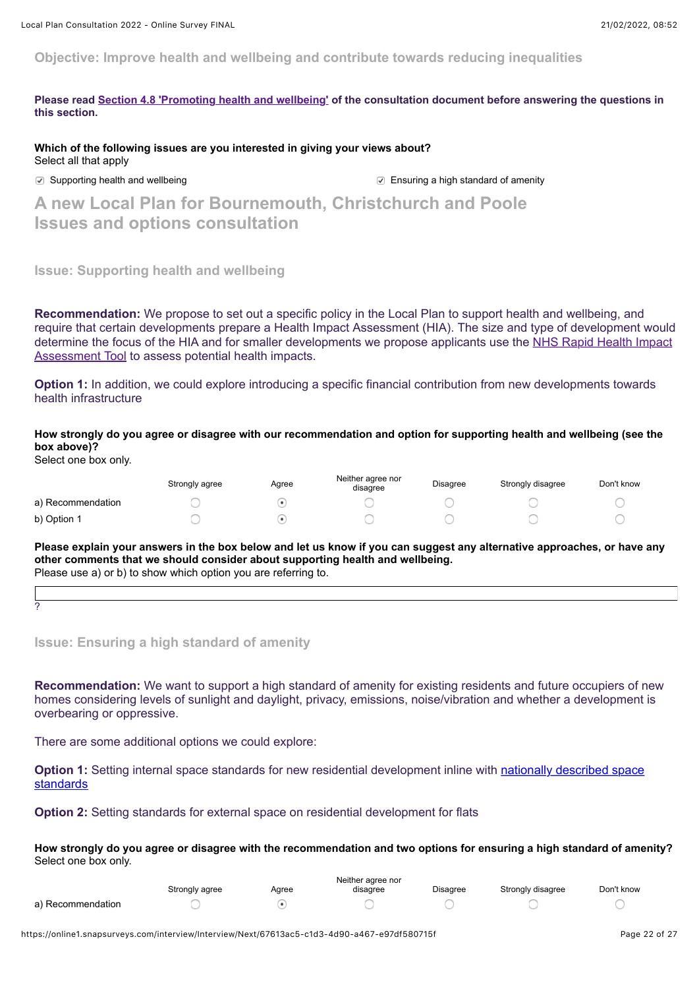**Objective: Improve health and wellbeing and contribute towards reducing inequalities**

**Please read [Section 4.8 'Promoting health and wellbeing'](https://storymaps.arcgis.com/collections/f14976df158c482da090ef11c33afe79?item=12) of the consultation document before answering the questions in this section.**

**Which of the following issues are you interested in giving your views about?**  Select all that apply

○ Supporting health and wellbeing **Ensuring a high standard of amenity** 

**A new Local Plan for Bournemouth, Christchurch and Poole Issues and options consultation**

**Issue: Supporting health and wellbeing**

**Recommendation:** We propose to set out a specific policy in the Local Plan to support health and wellbeing, and require that certain developments prepare a Health Impact Assessment (HIA). The size and type of development would [determine the focus of the HIA and for smaller developments we propose applicants use the NHS Rapid Health Impact](http://www.healthyurbandevelopment.nhs.uk/wp-content/uploads/2019/10/HUDU-Rapid-HIA-Tool-October-2019.pdf) Assessment Tool to assess potential health impacts.

**Option 1:** In addition, we could explore introducing a specific financial contribution from new developments towards health infrastructure

**How strongly do you agree or disagree with our recommendation and option for supporting health and wellbeing (see the box above)?**

Select one box only.

|                   | Strongly agree | Agree | Neither agree nor<br>disagree | Disagree | Strongly disagree | Don't know |
|-------------------|----------------|-------|-------------------------------|----------|-------------------|------------|
| a) Recommendation |                |       |                               |          |                   |            |
| b) Option 1       |                |       |                               |          |                   |            |

**Please explain your answers in the box below and let us know if you can suggest any alternative approaches, or have any other comments that we should consider about supporting health and wellbeing.** Please use a) or b) to show which option you are referring to.

?

**Issue: Ensuring a high standard of amenity**

**Recommendation:** We want to support a high standard of amenity for existing residents and future occupiers of new homes considering levels of sunlight and daylight, privacy, emissions, noise/vibration and whether a development is overbearing or oppressive.

There are some additional options we could explore:

**Option 1:** [Setting internal space standards for new residential development inline with nationally described space](https://www.gov.uk/government/publications/technical-housing-standards-nationally-described-space-standard/technical-housing-standards-nationally-described-space-standard) standards

**Option 2:** Setting standards for external space on residential development for flats

**How strongly do you agree or disagree with the recommendation and two options for ensuring a high standard of amenity?** Select one box only.

|                   | Neither agree nor |       |          |                 |                   |            |  |
|-------------------|-------------------|-------|----------|-----------------|-------------------|------------|--|
|                   | Strongly agree    | Aaree | disagree | <b>Disagree</b> | Strongly disagree | Don't know |  |
| a) Recommendation |                   |       |          |                 |                   |            |  |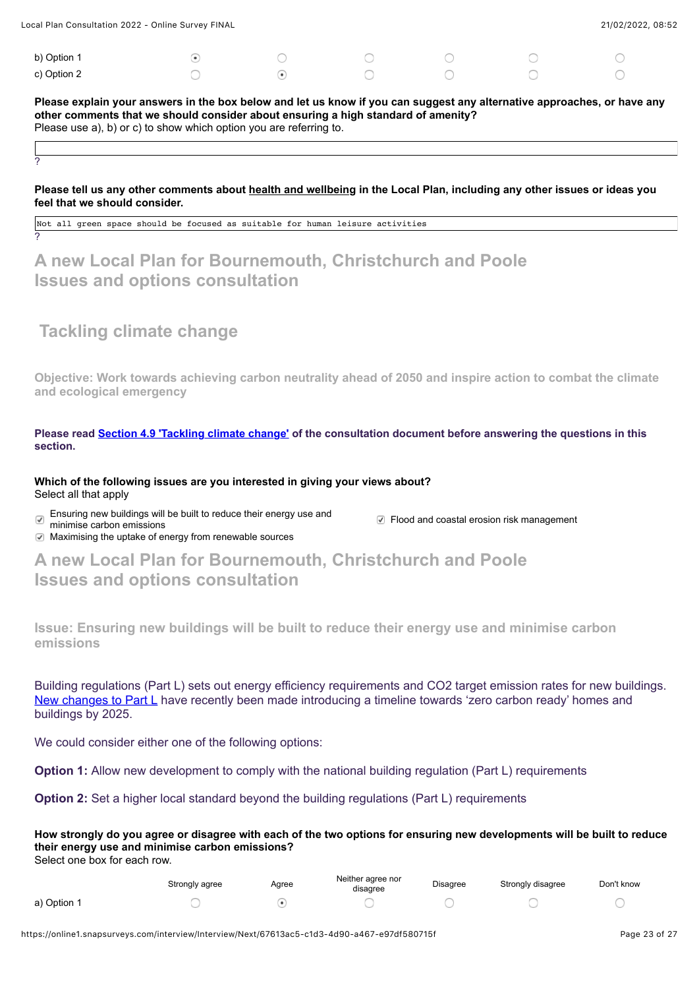| $\sigma$ of the consentation $\epsilon$ of $\epsilon$ . Online out very think the consent |  |  | 210212022,0000 |  |
|-------------------------------------------------------------------------------------------|--|--|----------------|--|
|                                                                                           |  |  |                |  |
| b) Option 1                                                                               |  |  |                |  |
| c) Option 2                                                                               |  |  |                |  |

 $\frac{1}{2}$  Dlan Consultation 2022 - Online Survey FINAL 21/02/2022, 08:52

**Please explain your answers in the box below and let us know if you can suggest any alternative approaches, or have any other comments that we should consider about ensuring a high standard of amenity?** Please use a), b) or c) to show which option you are referring to.

## **Please tell us any other comments about health and wellbeing in the Local Plan, including any other issues or ideas you feel that we should consider.**

Not all green space should be focused as suitable for human leisure activities

# **A new Local Plan for Bournemouth, Christchurch and Poole Issues and options consultation**

# **Tackling climate change**

?

?

**Objective: Work towards achieving carbon neutrality ahead of 2050 and inspire action to combat the climate and ecological emergency**

**Please read [Section 4.9 'Tackling climate change'](https://storymaps.arcgis.com/collections/f14976df158c482da090ef11c33afe79?item=13) of the consultation document before answering the questions in this section.**

### **Which of the following issues are you interested in giving your views about?**  Select all that apply

Ensuring new buildings will be built to reduce their energy use and  $\blacktriangledown$ 

 $\heartsuit$  Flood and coastal erosion risk management

 $\heartsuit$  Maximising the uptake of energy from renewable sources

**A new Local Plan for Bournemouth, Christchurch and Poole Issues and options consultation**

**Issue: Ensuring new buildings will be built to reduce their energy use and minimise carbon emissions**

Building regulations (Part L) sets out energy efficiency requirements and CO2 target emission rates for new buildings. [New changes to Part L](https://www.gov.uk/government/news/new-homes-to-produce-nearly-a-third-less-carbon?utm_medium=email&utm_campaign=govuk-notifications&utm_source=4894f10d-df11-4971-bd0a-2d5eb641a1d2&utm_content=weekly) have recently been made introducing a timeline towards 'zero carbon ready' homes and buildings by 2025.

We could consider either one of the following options:

**Option 1:** Allow new development to comply with the national building regulation (Part L) requirements

**Option 2:** Set a higher local standard beyond the building regulations (Part L) requirements

**How strongly do you agree or disagree with each of the two options for ensuring new developments will be built to reduce their energy use and minimise carbon emissions?**

Select one box for each row.

|             | Strongly agree | Agree | Neither agree nor<br>disagree | Disagree | Strongly disagree | Don't know |
|-------------|----------------|-------|-------------------------------|----------|-------------------|------------|
| a) Option 1 |                |       |                               |          |                   |            |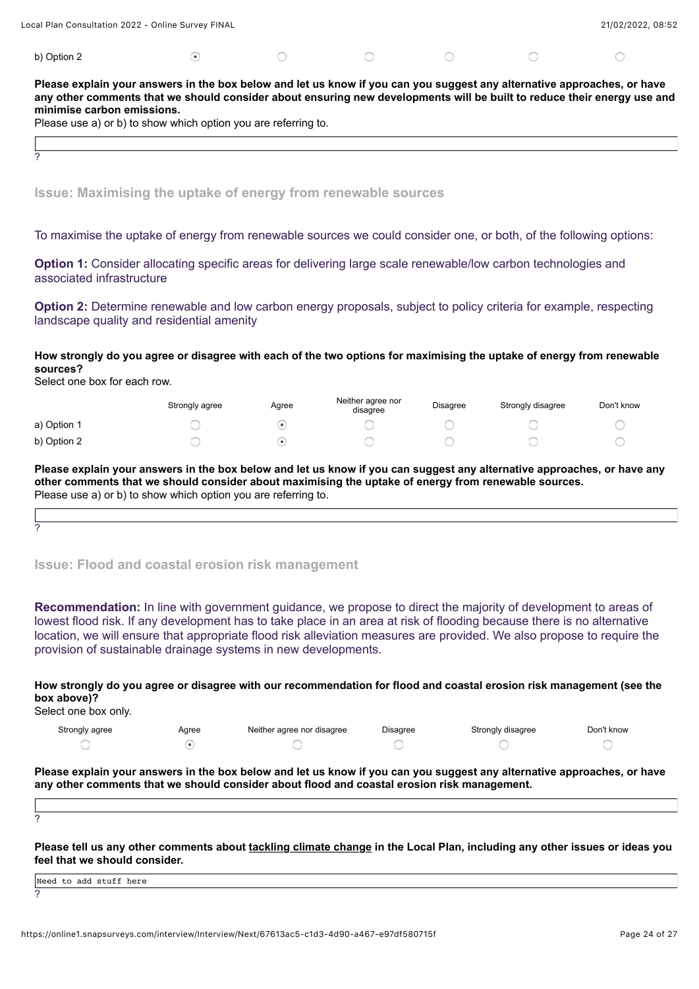| Local Plan Consultation 2022 - Online Survey FINAL |  |  | 21/02/2022, 08:52 |
|----------------------------------------------------|--|--|-------------------|
| b) Option 2                                        |  |  |                   |

**Please explain your answers in the box below and let us know if you can you suggest any alternative approaches, or have any other comments that we should consider about ensuring new developments will be built to reduce their energy use and minimise carbon emissions.**

Please use a) or b) to show which option you are referring to.

**Issue: Maximising the uptake of energy from renewable sources**

To maximise the uptake of energy from renewable sources we could consider one, or both, of the following options:

**Option 1:** Consider allocating specific areas for delivering large scale renewable/low carbon technologies and associated infrastructure

**Option 2:** Determine renewable and low carbon energy proposals, subject to policy criteria for example, respecting landscape quality and residential amenity

**How strongly do you agree or disagree with each of the two options for maximising the uptake of energy from renewable sources?**

Select one box for each row.

?

|             | Strongly agree | Agree | Neither agree nor<br>disagree | <b>Disagree</b> | Strongly disagree | Don't know |
|-------------|----------------|-------|-------------------------------|-----------------|-------------------|------------|
| a) Option 1 |                |       |                               |                 |                   |            |
| b) Option 2 |                |       |                               |                 |                   |            |

**Please explain your answers in the box below and let us know if you can suggest any alternative approaches, or have any other comments that we should consider about maximising the uptake of energy from renewable sources.** Please use a) or b) to show which option you are referring to.

**Issue: Flood and coastal erosion risk management**

**Recommendation:** In line with government guidance, we propose to direct the majority of development to areas of lowest flood risk. If any development has to take place in an area at risk of flooding because there is no alternative location, we will ensure that appropriate flood risk alleviation measures are provided. We also propose to require the provision of sustainable drainage systems in new developments.

**How strongly do you agree or disagree with our recommendation for flood and coastal erosion risk management (see the box above)?**

Select one box only.

| Strongly agree | Agree | Neither agree nor disagree | Disagree | Strongly disagree | Don't know |
|----------------|-------|----------------------------|----------|-------------------|------------|
|                |       |                            |          |                   |            |

**Please explain your answers in the box below and let us know if you can you suggest any alternative approaches, or have any other comments that we should consider about flood and coastal erosion risk management.**

?

?

**Please tell us any other comments about tackling climate change in the Local Plan, including any other issues or ideas you feel that we should consider.**

| .<br>Need to add stuff here |  |
|-----------------------------|--|
| $\sim$                      |  |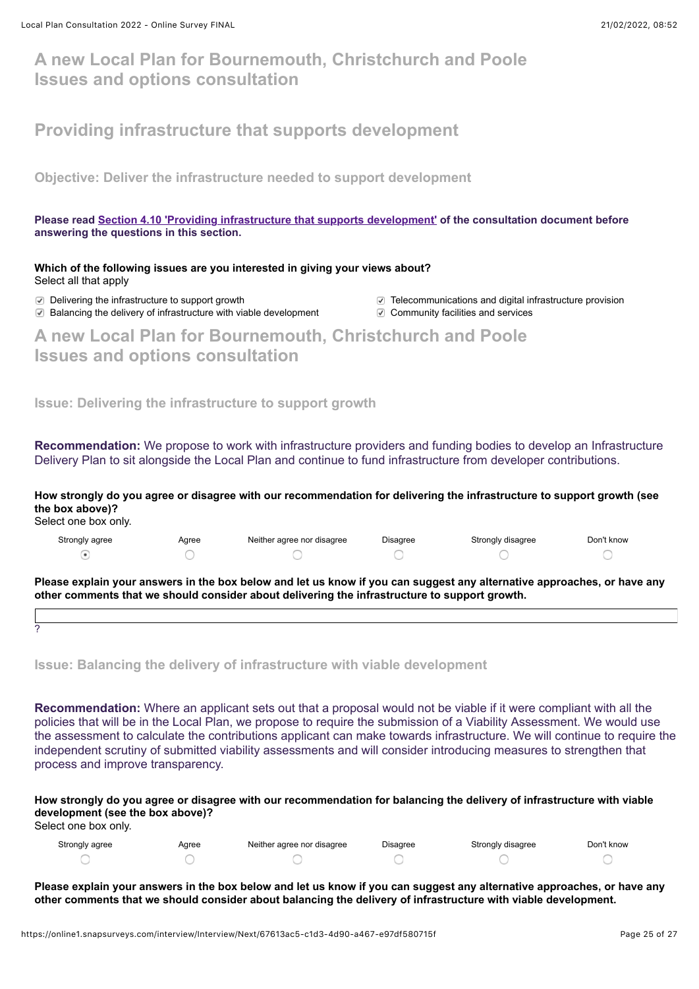# **A new Local Plan for Bournemouth, Christchurch and Poole Issues and options consultation**

# **Providing infrastructure that supports development**

**Objective: Deliver the infrastructure needed to support development**

**Please read [Section 4.10 'Providing infrastructure that supports development'](https://storymaps.arcgis.com/collections/f14976df158c482da090ef11c33afe79?item=14) of the consultation document before answering the questions in this section.**

**Which of the following issues are you interested in giving your views about?** Select all that apply

- ⊙ Balancing the delivery of infrastructure with viable development © Community facilities and services
- Delivering the infrastructure to support growth Telecommunications and digital infrastructure provision
	-

**A new Local Plan for Bournemouth, Christchurch and Poole Issues and options consultation**

**Issue: Delivering the infrastructure to support growth**

**Recommendation:** We propose to work with infrastructure providers and funding bodies to develop an Infrastructure Delivery Plan to sit alongside the Local Plan and continue to fund infrastructure from developer contributions.

**How strongly do you agree or disagree with our recommendation for delivering the infrastructure to support growth (see the box above)?**

Select one box only.

| Strongly agree | Agree | Neither agree nor disagree | <b>Disagree</b> | Strongly disagree | Don't know |
|----------------|-------|----------------------------|-----------------|-------------------|------------|
|                |       |                            |                 |                   |            |

**Please explain your answers in the box below and let us know if you can suggest any alternative approaches, or have any other comments that we should consider about delivering the infrastructure to support growth.**

?

**Issue: Balancing the delivery of infrastructure with viable development**

**Recommendation:** Where an applicant sets out that a proposal would not be viable if it were compliant with all the policies that will be in the Local Plan, we propose to require the submission of a Viability Assessment. We would use the assessment to calculate the contributions applicant can make towards infrastructure. We will continue to require the independent scrutiny of submitted viability assessments and will consider introducing measures to strengthen that process and improve transparency.

**How strongly do you agree or disagree with our recommendation for balancing the delivery of infrastructure with viable development (see the box above)?**

Select one box only.

| Strongly agree | Agree | Neither agree nor disagree | Disagree | Strongly disagree | Don't know |
|----------------|-------|----------------------------|----------|-------------------|------------|
|                |       |                            |          |                   |            |

**Please explain your answers in the box below and let us know if you can suggest any alternative approaches, or have any other comments that we should consider about balancing the delivery of infrastructure with viable development.**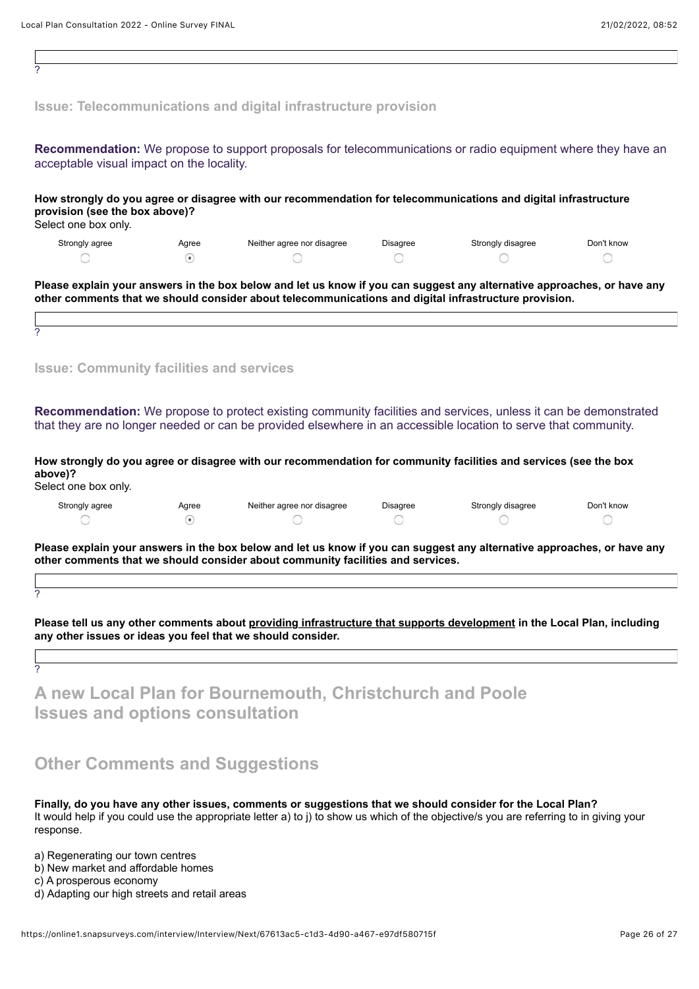| 2                                                                                                                                                                                                                                 |                     |                                                                                                                                                                                                                                  |                 |                   |                 |
|-----------------------------------------------------------------------------------------------------------------------------------------------------------------------------------------------------------------------------------|---------------------|----------------------------------------------------------------------------------------------------------------------------------------------------------------------------------------------------------------------------------|-----------------|-------------------|-----------------|
|                                                                                                                                                                                                                                   |                     | <b>Issue: Telecommunications and digital infrastructure provision</b>                                                                                                                                                            |                 |                   |                 |
| acceptable visual impact on the locality.                                                                                                                                                                                         |                     | Recommendation: We propose to support proposals for telecommunications or radio equipment where they have an                                                                                                                     |                 |                   |                 |
| provision (see the box above)?<br>Select one box only.                                                                                                                                                                            |                     | How strongly do you agree or disagree with our recommendation for telecommunications and digital infrastructure                                                                                                                  |                 |                   |                 |
| Strongly agree                                                                                                                                                                                                                    | Agree               | Neither agree nor disagree                                                                                                                                                                                                       | <b>Disagree</b> | Strongly disagree | Don't know      |
|                                                                                                                                                                                                                                   | $\odot$             |                                                                                                                                                                                                                                  |                 |                   |                 |
| 2                                                                                                                                                                                                                                 |                     | Please explain your answers in the box below and let us know if you can suggest any alternative approaches, or have any<br>other comments that we should consider about telecommunications and digital infrastructure provision. |                 |                   |                 |
| <b>Issue: Community facilities and services</b>                                                                                                                                                                                   |                     |                                                                                                                                                                                                                                  |                 |                   |                 |
| Recommendation: We propose to protect existing community facilities and services, unless it can be demonstrated<br>that they are no longer needed or can be provided elsewhere in an accessible location to serve that community. |                     |                                                                                                                                                                                                                                  |                 |                   |                 |
| above)?<br>Select one box only.                                                                                                                                                                                                   |                     | How strongly do you agree or disagree with our recommendation for community facilities and services (see the box                                                                                                                 |                 |                   |                 |
| Strongly agree                                                                                                                                                                                                                    | Agree<br>$_{\odot}$ | Neither agree nor disagree                                                                                                                                                                                                       | Disagree        | Strongly disagree | Don't know<br>○ |
| Please explain your answers in the box below and let us know if you can suggest any alternative approaches, or have any<br>other comments that we should consider about community facilities and services.                        |                     |                                                                                                                                                                                                                                  |                 |                   |                 |
|                                                                                                                                                                                                                                   |                     |                                                                                                                                                                                                                                  |                 |                   |                 |
| 2                                                                                                                                                                                                                                 |                     |                                                                                                                                                                                                                                  |                 |                   |                 |
| Please tell us any other comments about providing infrastructure that supports development in the Local Plan, including<br>any other issues or ideas you feel that we should consider.                                            |                     |                                                                                                                                                                                                                                  |                 |                   |                 |
| 2                                                                                                                                                                                                                                 |                     |                                                                                                                                                                                                                                  |                 |                   |                 |
| A new Local Plan for Bournemouth, Christchurch and Poole<br><b>Issues and options consultation</b>                                                                                                                                |                     |                                                                                                                                                                                                                                  |                 |                   |                 |
| <b>Other Comments and Suggestions</b>                                                                                                                                                                                             |                     |                                                                                                                                                                                                                                  |                 |                   |                 |
| Finally, do you have any other issues, comments or suggestions that we should consider for the Local Plan?                                                                                                                        |                     |                                                                                                                                                                                                                                  |                 |                   |                 |

It would help if you could use the appropriate letter a) to j) to show us which of the objective/s you are referring to in giving your response.

a) Regenerating our town centres

b) New market and affordable homes

c) A prosperous economy

d) Adapting our high streets and retail areas